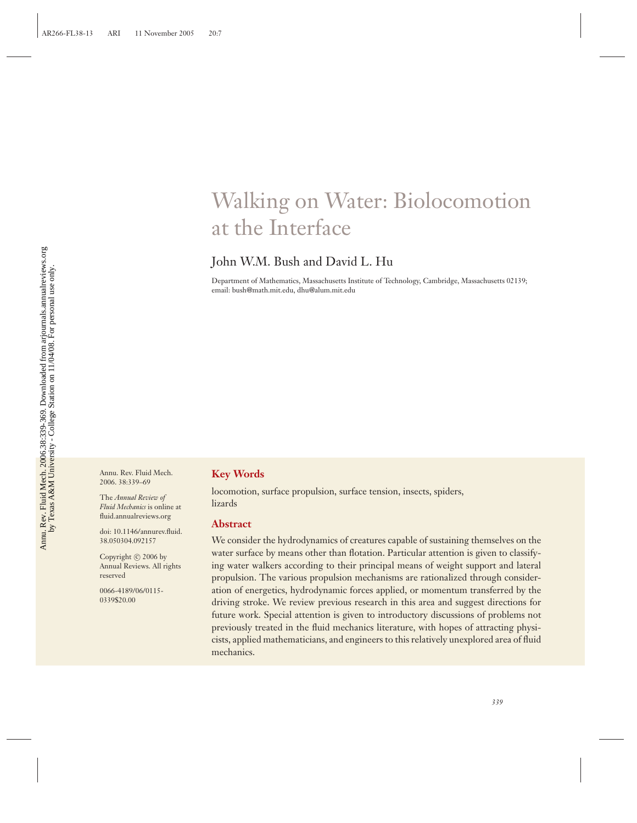# Walking on Water: Biolocomotion at the Interface

# John W.M. Bush and David L. Hu

Department of Mathematics, Massachusetts Institute of Technology, Cambridge, Massachusetts 02139; email: bush@math.mit.edu, dhu@alum.mit.edu

Annu. Rev. Fluid Mech. 2006. 38:339–69

The *Annual Review of Fluid Mechanics* is online at fluid.annualreviews.org

doi: 10.1146/annurev.fluid. 38.050304.092157

Copyright (c) 2006 by Annual Reviews. All rights reserved

0066-4189/06/0115- 0339\$20.00

## **Key Words**

locomotion, surface propulsion, surface tension, insects, spiders, lizards

# **Abstract**

We consider the hydrodynamics of creatures capable of sustaining themselves on the water surface by means other than flotation. Particular attention is given to classifying water walkers according to their principal means of weight support and lateral propulsion. The various propulsion mechanisms are rationalized through consideration of energetics, hydrodynamic forces applied, or momentum transferred by the driving stroke. We review previous research in this area and suggest directions for future work. Special attention is given to introductory discussions of problems not previously treated in the fluid mechanics literature, with hopes of attracting physicists, applied mathematicians, and engineers to this relatively unexplored area of fluid mechanics.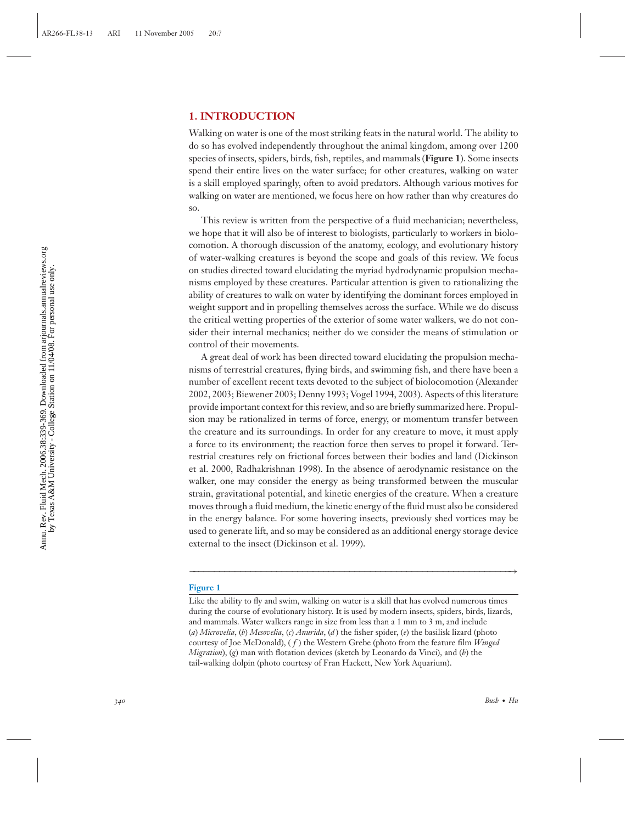## **1. INTRODUCTION**

Walking on water is one of the most striking feats in the natural world. The ability to do so has evolved independently throughout the animal kingdom, among over 1200 species of insects, spiders, birds, fish, reptiles, and mammals (**Figure 1**). Some insects spend their entire lives on the water surface; for other creatures, walking on water is a skill employed sparingly, often to avoid predators. Although various motives for walking on water are mentioned, we focus here on how rather than why creatures do so.

This review is written from the perspective of a fluid mechanician; nevertheless, we hope that it will also be of interest to biologists, particularly to workers in biolocomotion. A thorough discussion of the anatomy, ecology, and evolutionary history of water-walking creatures is beyond the scope and goals of this review. We focus on studies directed toward elucidating the myriad hydrodynamic propulsion mechanisms employed by these creatures. Particular attention is given to rationalizing the ability of creatures to walk on water by identifying the dominant forces employed in weight support and in propelling themselves across the surface. While we do discuss the critical wetting properties of the exterior of some water walkers, we do not consider their internal mechanics; neither do we consider the means of stimulation or control of their movements.

A great deal of work has been directed toward elucidating the propulsion mechanisms of terrestrial creatures, flying birds, and swimming fish, and there have been a number of excellent recent texts devoted to the subject of biolocomotion (Alexander 2002, 2003; Biewener 2003; Denny 1993; Vogel 1994, 2003). Aspects of this literature provide important context for this review, and so are briefly summarized here. Propulsion may be rationalized in terms of force, energy, or momentum transfer between the creature and its surroundings. In order for any creature to move, it must apply a force to its environment; the reaction force then serves to propel it forward. Terrestrial creatures rely on frictional forces between their bodies and land (Dickinson et al. 2000, Radhakrishnan 1998). In the absence of aerodynamic resistance on the walker, one may consider the energy as being transformed between the muscular strain, gravitational potential, and kinetic energies of the creature. When a creature moves through a fluid medium, the kinetic energy of the fluid must also be considered in the energy balance. For some hovering insects, previously shed vortices may be used to generate lift, and so may be considered as an additional energy storage device external to the insect (Dickinson et al. 1999).

#### **Figure 1**

Like the ability to fly and swim, walking on water is a skill that has evolved numerous times during the course of evolutionary history. It is used by modern insects, spiders, birds, lizards, and mammals. Water walkers range in size from less than a 1 mm to 3 m, and include (*a*) *Microvelia*, (*b*) *Mesovelia*, (*c*) *Anurida*, (*d* ) the fisher spider, (*e*) the basilisk lizard (photo courtesy of Joe McDonald), ( *f* ) the Western Grebe (photo from the feature film *Winged Migration*), (*g*) man with flotation devices (sketch by Leonardo da Vinci), and (*h*) the tail-walking dolpin (photo courtesy of Fran Hackett, New York Aquarium).

−−−−−−−−−−−−−−−−−−−−−−−−−−−−−−−−−−−−−−−−−−−−−−−−−−−−−−−−−−−−−−→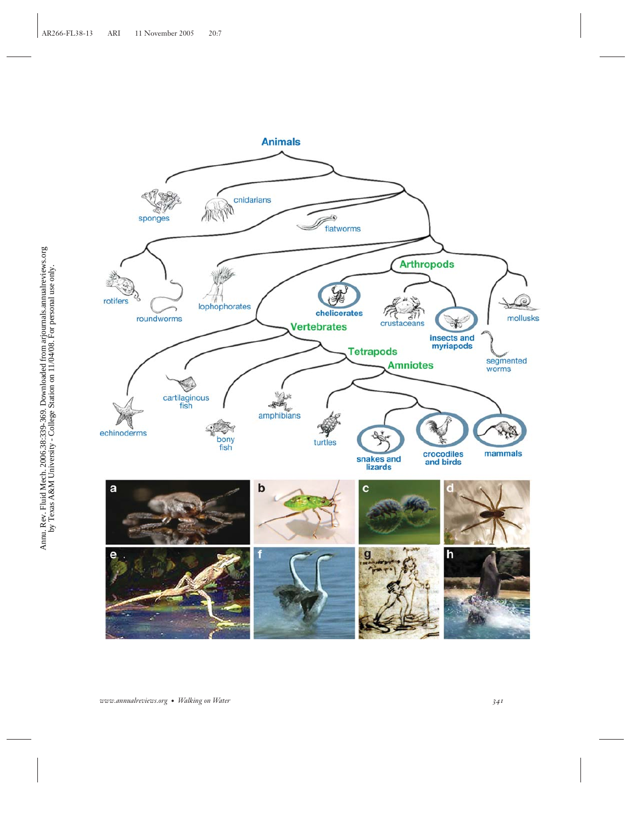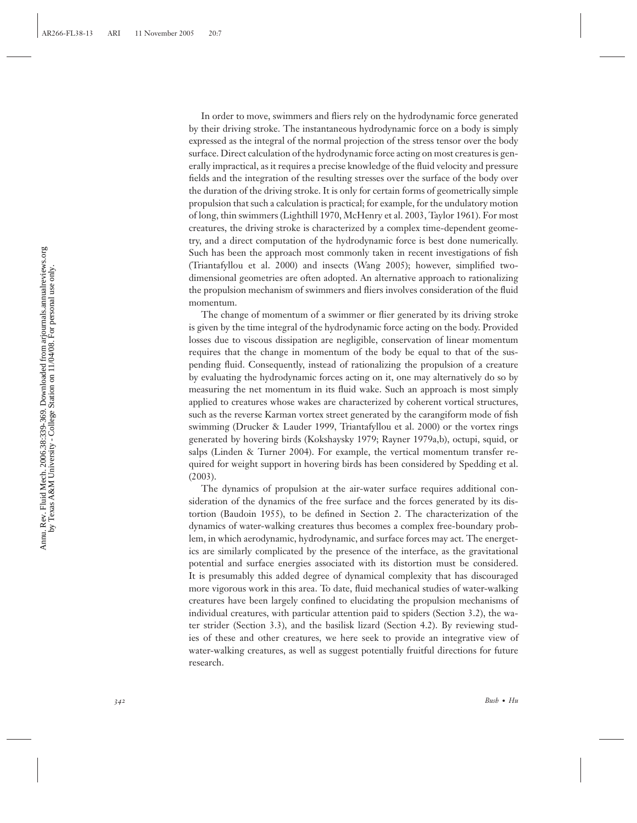In order to move, swimmers and fliers rely on the hydrodynamic force generated by their driving stroke. The instantaneous hydrodynamic force on a body is simply expressed as the integral of the normal projection of the stress tensor over the body surface. Direct calculation of the hydrodynamic force acting on most creatures is generally impractical, as it requires a precise knowledge of the fluid velocity and pressure fields and the integration of the resulting stresses over the surface of the body over the duration of the driving stroke. It is only for certain forms of geometrically simple propulsion that such a calculation is practical; for example, for the undulatory motion of long, thin swimmers (Lighthill 1970, McHenry et al. 2003, Taylor 1961). For most creatures, the driving stroke is characterized by a complex time-dependent geometry, and a direct computation of the hydrodynamic force is best done numerically. Such has been the approach most commonly taken in recent investigations of fish (Triantafyllou et al. 2000) and insects (Wang 2005); however, simplified twodimensional geometries are often adopted. An alternative approach to rationalizing the propulsion mechanism of swimmers and fliers involves consideration of the fluid momentum.

The change of momentum of a swimmer or flier generated by its driving stroke is given by the time integral of the hydrodynamic force acting on the body. Provided losses due to viscous dissipation are negligible, conservation of linear momentum requires that the change in momentum of the body be equal to that of the suspending fluid. Consequently, instead of rationalizing the propulsion of a creature by evaluating the hydrodynamic forces acting on it, one may alternatively do so by measuring the net momentum in its fluid wake. Such an approach is most simply applied to creatures whose wakes are characterized by coherent vortical structures, such as the reverse Karman vortex street generated by the carangiform mode of fish swimming (Drucker & Lauder 1999, Triantafyllou et al. 2000) or the vortex rings generated by hovering birds (Kokshaysky 1979; Rayner 1979a,b), octupi, squid, or salps (Linden & Turner 2004). For example, the vertical momentum transfer required for weight support in hovering birds has been considered by Spedding et al. (2003).

The dynamics of propulsion at the air-water surface requires additional consideration of the dynamics of the free surface and the forces generated by its distortion (Baudoin 1955), to be defined in Section 2. The characterization of the dynamics of water-walking creatures thus becomes a complex free-boundary problem, in which aerodynamic, hydrodynamic, and surface forces may act. The energetics are similarly complicated by the presence of the interface, as the gravitational potential and surface energies associated with its distortion must be considered. It is presumably this added degree of dynamical complexity that has discouraged more vigorous work in this area. To date, fluid mechanical studies of water-walking creatures have been largely confined to elucidating the propulsion mechanisms of individual creatures, with particular attention paid to spiders (Section 3.2), the water strider (Section 3.3), and the basilisk lizard (Section 4.2). By reviewing studies of these and other creatures, we here seek to provide an integrative view of water-walking creatures, as well as suggest potentially fruitful directions for future research.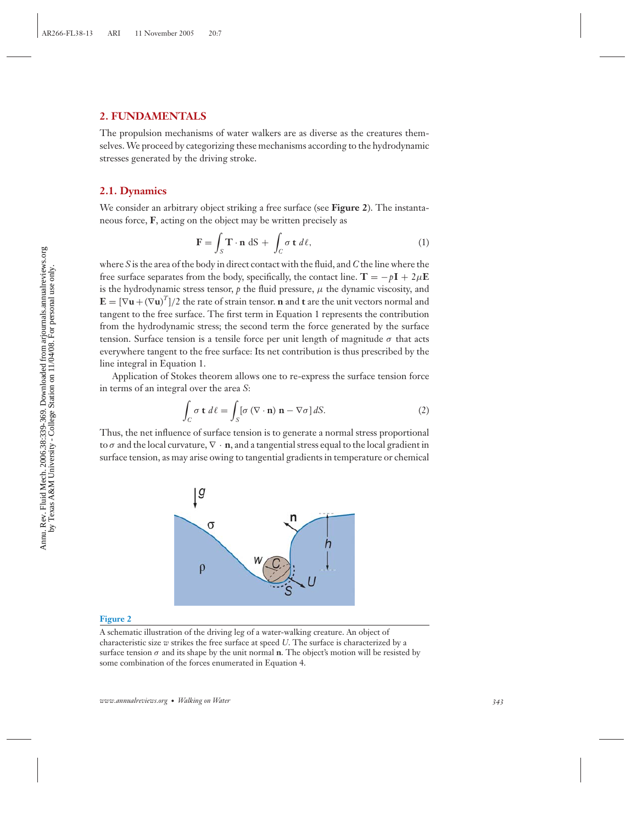# **2. FUNDAMENTALS**

The propulsion mechanisms of water walkers are as diverse as the creatures themselves. We proceed by categorizing these mechanisms according to the hydrodynamic stresses generated by the driving stroke.

## **2.1. Dynamics**

We consider an arbitrary object striking a free surface (see **Figure 2**). The instantaneous force, **F**, acting on the object may be written precisely as

$$
\mathbf{F} = \int_{S} \mathbf{T} \cdot \mathbf{n} \, dS + \int_{C} \sigma \, \mathbf{t} \, d\ell,\tag{1}
$$

where *S* is the area of the body in direct contact with the fluid, and *C* the line where the free surface separates from the body, specifically, the contact line.  $\mathbf{T} = -p\mathbf{I} + 2\mu\mathbf{E}$ is the hydrodynamic stress tensor,  $p$  the fluid pressure,  $\mu$  the dynamic viscosity, and  $\mathbf{E} = [\nabla \mathbf{u} + (\nabla \mathbf{u})^T]/2$  the rate of strain tensor. **n** and **t** are the unit vectors normal and tangent to the free surface. The first term in Equation 1 represents the contribution from the hydrodynamic stress; the second term the force generated by the surface tension. Surface tension is a tensile force per unit length of magnitude  $\sigma$  that acts everywhere tangent to the free surface: Its net contribution is thus prescribed by the line integral in Equation 1.

Application of Stokes theorem allows one to re-express the surface tension force in terms of an integral over the area *S*:

$$
\int_C \sigma \mathbf{t} \, d\ell = \int_S [\sigma (\nabla \cdot \mathbf{n}) \mathbf{n} - \nabla \sigma] \, dS. \tag{2}
$$

Thus, the net influence of surface tension is to generate a normal stress proportional to σ and the local curvature, ∇ · **n**, and a tangential stress equal to the local gradient in surface tension, as may arise owing to tangential gradients in temperature or chemical



#### **Figure 2**

A schematic illustration of the driving leg of a water-walking creature. An object of characteristic size *w* strikes the free surface at speed *U*. The surface is characterized by a surface tension  $\sigma$  and its shape by the unit normal **n**. The object's motion will be resisted by some combination of the forces enumerated in Equation 4.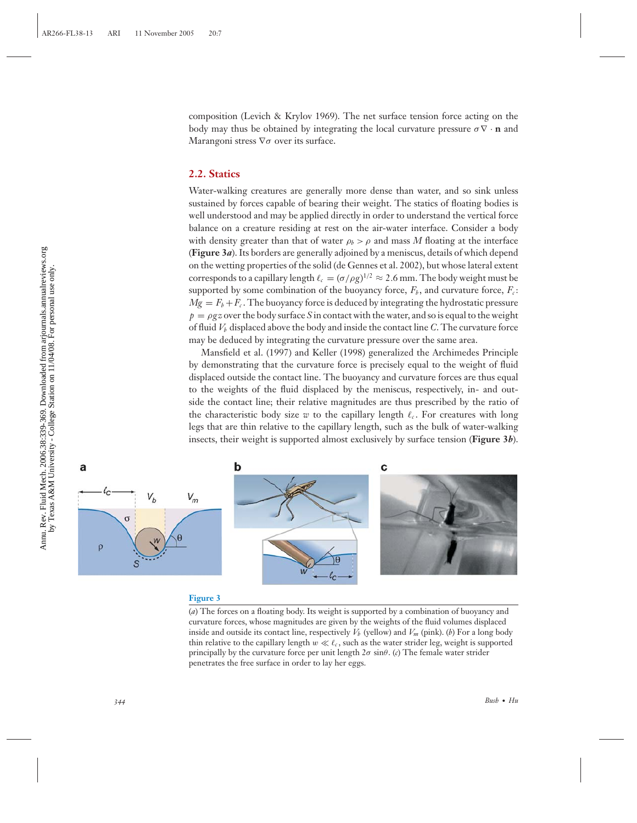composition (Levich & Krylov 1969). The net surface tension force acting on the body may thus be obtained by integrating the local curvature pressure  $\sigma \nabla \cdot \mathbf{n}$  and Marangoni stress  $\nabla\sigma$  over its surface.

## **2.2. Statics**

Water-walking creatures are generally more dense than water, and so sink unless sustained by forces capable of bearing their weight. The statics of floating bodies is well understood and may be applied directly in order to understand the vertical force balance on a creature residing at rest on the air-water interface. Consider a body with density greater than that of water  $\rho_b > \rho$  and mass M floating at the interface (**Figure 3***a*). Its borders are generally adjoined by a meniscus, details of which depend on the wetting properties of the solid (de Gennes et al. 2002), but whose lateral extent corresponds to a capillary length  $\ell_c = (\sigma/\rho g)^{1/2} \approx 2.6$  mm. The body weight must be supported by some combination of the buoyancy force,  $F_b$ , and curvature force,  $F_c$ :  $Mg = F_b + F_c$ . The buoyancy force is deduced by integrating the hydrostatic pressure  $p = \rho g z$  over the body surface *S* in contact with the water, and so is equal to the weight of fluid  $V_b$  displaced above the body and inside the contact line  $C$ . The curvature force may be deduced by integrating the curvature pressure over the same area.

Mansfield et al. (1997) and Keller (1998) generalized the Archimedes Principle by demonstrating that the curvature force is precisely equal to the weight of fluid displaced outside the contact line. The buoyancy and curvature forces are thus equal to the weights of the fluid displaced by the meniscus, respectively, in- and outside the contact line; their relative magnitudes are thus prescribed by the ratio of the characteristic body size  $w$  to the capillary length  $\ell_c$ . For creatures with long legs that are thin relative to the capillary length, such as the bulk of water-walking insects, their weight is supported almost exclusively by surface tension (**Figure 3***b*).



#### **Figure 3**

(*a*) The forces on a floating body. Its weight is supported by a combination of buoyancy and curvature forces, whose magnitudes are given by the weights of the fluid volumes displaced inside and outside its contact line, respectively  $V_b$  (yellow) and  $V_m$  (pink). (b) For a long body thin relative to the capillary length  $w \ll \ell_c$ , such as the water strider leg, weight is supported principally by the curvature force per unit length  $2\sigma \sin\theta$ . (*c*) The female water strider penetrates the free surface in order to lay her eggs.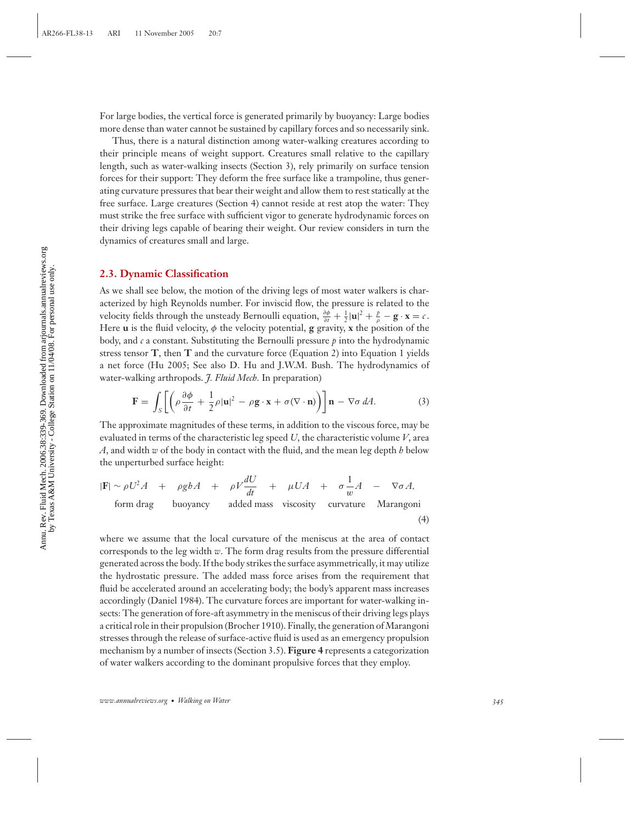For large bodies, the vertical force is generated primarily by buoyancy: Large bodies more dense than water cannot be sustained by capillary forces and so necessarily sink.

Thus, there is a natural distinction among water-walking creatures according to their principle means of weight support. Creatures small relative to the capillary length, such as water-walking insects (Section 3), rely primarily on surface tension forces for their support: They deform the free surface like a trampoline, thus generating curvature pressures that bear their weight and allow them to rest statically at the free surface. Large creatures (Section 4) cannot reside at rest atop the water: They must strike the free surface with sufficient vigor to generate hydrodynamic forces on their driving legs capable of bearing their weight. Our review considers in turn the dynamics of creatures small and large.

#### **2.3. Dynamic Classification**

As we shall see below, the motion of the driving legs of most water walkers is characterized by high Reynolds number. For inviscid flow, the pressure is related to the velocity fields through the unsteady Bernoulli equation,  $\frac{\partial \phi}{\partial t} + \frac{1}{2}|\mathbf{u}|^2 + \frac{p}{\rho} - \mathbf{g} \cdot \mathbf{x} = c$ . Here **u** is the fluid velocity, φ the velocity potential, **g** gravity, **x** the position of the body, and *c* a constant. Substituting the Bernoulli pressure *p* into the hydrodynamic stress tensor **T**, then **T** and the curvature force (Equation 2) into Equation 1 yields a net force (Hu 2005; See also D. Hu and J.W.M. Bush. The hydrodynamics of water-walking arthropods. *J. Fluid Mech.* In preparation)

$$
\mathbf{F} = \int_{S} \left[ \left( \rho \frac{\partial \phi}{\partial t} + \frac{1}{2} \rho |\mathbf{u}|^2 - \rho \mathbf{g} \cdot \mathbf{x} + \sigma (\nabla \cdot \mathbf{n}) \right) \right] \mathbf{n} - \nabla \sigma \, dA. \tag{3}
$$

The approximate magnitudes of these terms, in addition to the viscous force, may be evaluated in terms of the characteristic leg speed *U*, the characteristic volume *V*, area *A*, and width *w* of the body in contact with the fluid, and the mean leg depth *h* below the unperturbed surface height:

$$
|\mathbf{F}| \sim \rho U^2 A + \rho g b A + \rho V \frac{dU}{dt} + \mu U A + \sigma \frac{1}{w} A - \nabla \sigma A,
$$
  
form drag buoyancy added mass viscosity curvature Marangoni (4)

where we assume that the local curvature of the meniscus at the area of contact corresponds to the leg width *w*. The form drag results from the pressure differential generated across the body. If the body strikes the surface asymmetrically, it may utilize the hydrostatic pressure. The added mass force arises from the requirement that fluid be accelerated around an accelerating body; the body's apparent mass increases accordingly (Daniel 1984). The curvature forces are important for water-walking insects: The generation of fore-aft asymmetry in the meniscus of their driving legs plays a critical role in their propulsion (Brocher 1910). Finally, the generation of Marangoni stresses through the release of surface-active fluid is used as an emergency propulsion mechanism by a number of insects (Section 3.5). **Figure 4** represents a categorization of water walkers according to the dominant propulsive forces that they employ.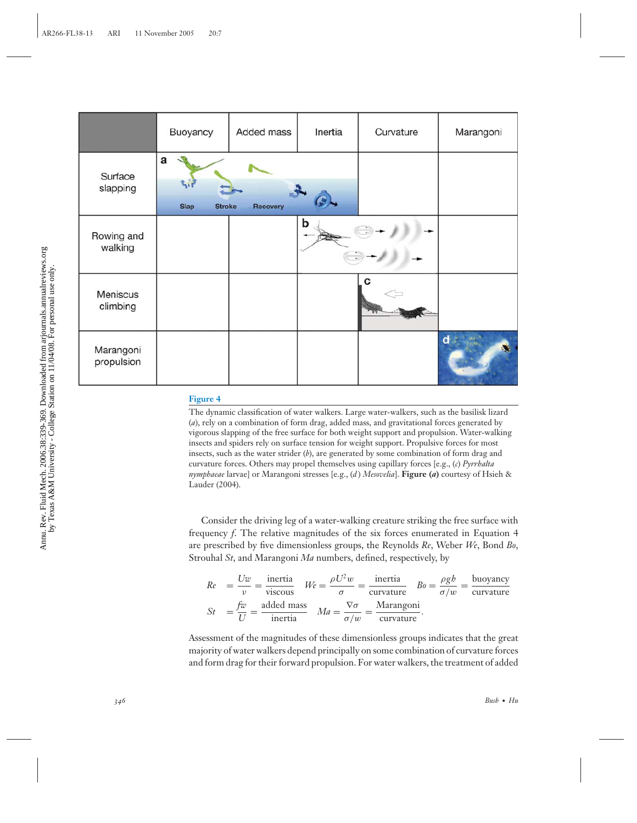

#### **Figure 4**

The dynamic classification of water walkers. Large water-walkers, such as the basilisk lizard (*a*), rely on a combination of form drag, added mass, and gravitational forces generated by vigorous slapping of the free surface for both weight support and propulsion. Water-walking insects and spiders rely on surface tension for weight support. Propulsive forces for most insects, such as the water strider (*b*), are generated by some combination of form drag and curvature forces. Others may propel themselves using capillary forces [e.g., (*c*) *Pyrrhalta nymphaeae* larvae] or Marangoni stresses [e.g., (*d* ) *Mesovelia*]. **Figure (***a***)** courtesy of Hsieh & Lauder (2004).

Consider the driving leg of a water-walking creature striking the free surface with frequency *f*. The relative magnitudes of the six forces enumerated in Equation 4 are prescribed by five dimensionless groups, the Reynolds *Re*, Weber *We*, Bond *Bo*, Strouhal *St*, and Marangoni *Ma* numbers, defined, respectively, by

$$
Re = \frac{Uw}{v} = \frac{\text{inertia}}{\text{viscous}} \quad We = \frac{\rho U^2 w}{\sigma} = \frac{\text{inertia}}{\text{curvature}} \quad Bo = \frac{\rho g b}{\sigma/w} = \frac{\text{buoyancy}}{\text{curvature}}
$$
\n
$$
St = \frac{fw}{U} = \frac{\text{added mass}}{\text{inertia}} \quad Ma = \frac{\nabla \sigma}{\sigma/w} = \frac{\text{Marangoni}}{\text{curvature}}.
$$

Assessment of the magnitudes of these dimensionless groups indicates that the great majority of water walkers depend principally on some combination of curvature forces and form drag for their forward propulsion. For water walkers, the treatment of added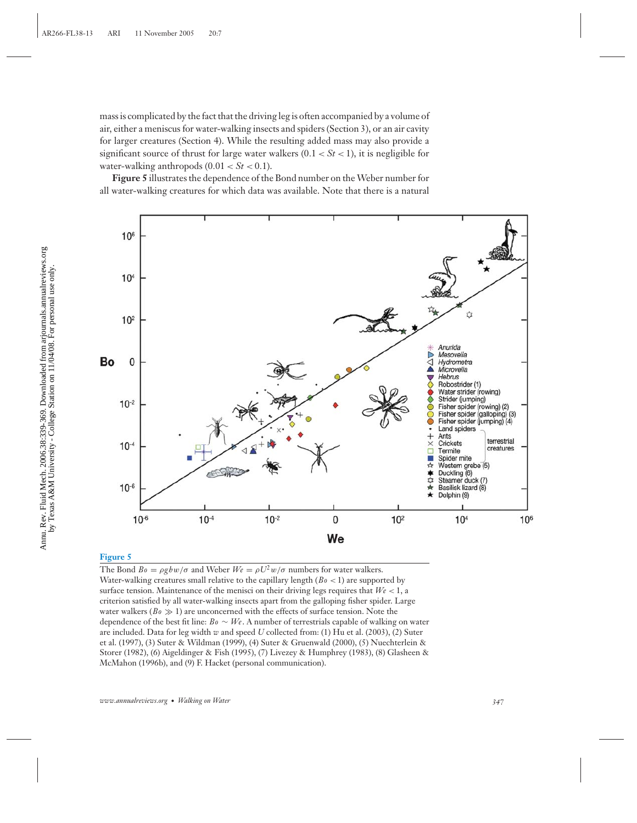mass is complicated by the fact that the driving leg is often accompanied by a volume of air, either a meniscus for water-walking insects and spiders (Section 3), or an air cavity for larger creatures (Section 4). While the resulting added mass may also provide a significant source of thrust for large water walkers  $(0.1 < St < 1)$ , it is negligible for water-walking anthropods  $(0.01 < St < 0.1)$ .

**Figure 5** illustrates the dependence of the Bond number on the Weber number for all water-walking creatures for which data was available. Note that there is a natural



#### **Figure 5**

The Bond  $B_0 = \rho g h w / \sigma$  and Weber  $W_e = \rho U^2 w / \sigma$  numbers for water walkers. Water-walking creatures small relative to the capillary length  $(B_0 < 1)$  are supported by surface tension. Maintenance of the menisci on their driving legs requires that  $We < 1$ , a criterion satisfied by all water-walking insects apart from the galloping fisher spider. Large water walkers ( $B_0 \gg 1$ ) are unconcerned with the effects of surface tension. Note the dependence of the best fit line: *Bo* ∼ *We*. A number of terrestrials capable of walking on water are included. Data for leg width *w* and speed *U* collected from: (1) Hu et al. (2003), (2) Suter et al. (1997), (3) Suter & Wildman (1999), (4) Suter & Gruenwald (2000), (5) Nuechterlein & Storer (1982), (6) Aigeldinger & Fish (1995), (7) Livezey & Humphrey (1983), (8) Glasheen & McMahon (1996b), and (9) F. Hacket (personal communication).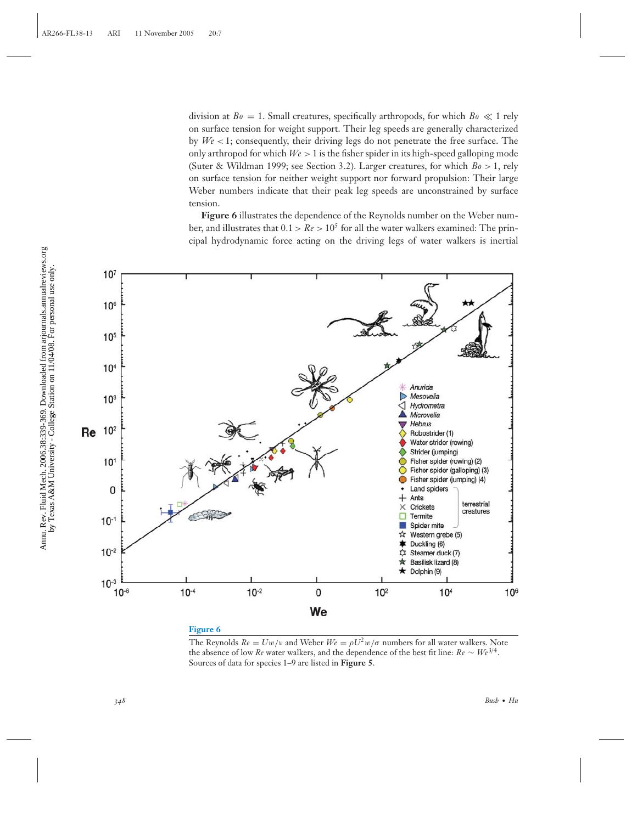division at  $Bo = 1$ . Small creatures, specifically arthropods, for which  $Bo \ll 1$  rely on surface tension for weight support. Their leg speeds are generally characterized by *We* < 1; consequently, their driving legs do not penetrate the free surface. The only arthropod for which  $W_e > 1$  is the fisher spider in its high-speed galloping mode (Suter & Wildman 1999; see Section 3.2). Larger creatures, for which *Bo* > 1, rely on surface tension for neither weight support nor forward propulsion: Their large Weber numbers indicate that their peak leg speeds are unconstrained by surface tension.

**Figure 6** illustrates the dependence of the Reynolds number on the Weber number, and illustrates that  $0.1 > Re > 10^5$  for all the water walkers examined: The principal hydrodynamic force acting on the driving legs of water walkers is inertial



#### **Figure 6**

The Reynolds  $Re = Uw/v$  and Weber  $We = \rho U^2 w/\sigma$  numbers for all water walkers. Note the absence of low *Re* water walkers, and the dependence of the best fit line:  $Re \sim We^{3/4}$ . Sources of data for species 1–9 are listed in **Figure 5**.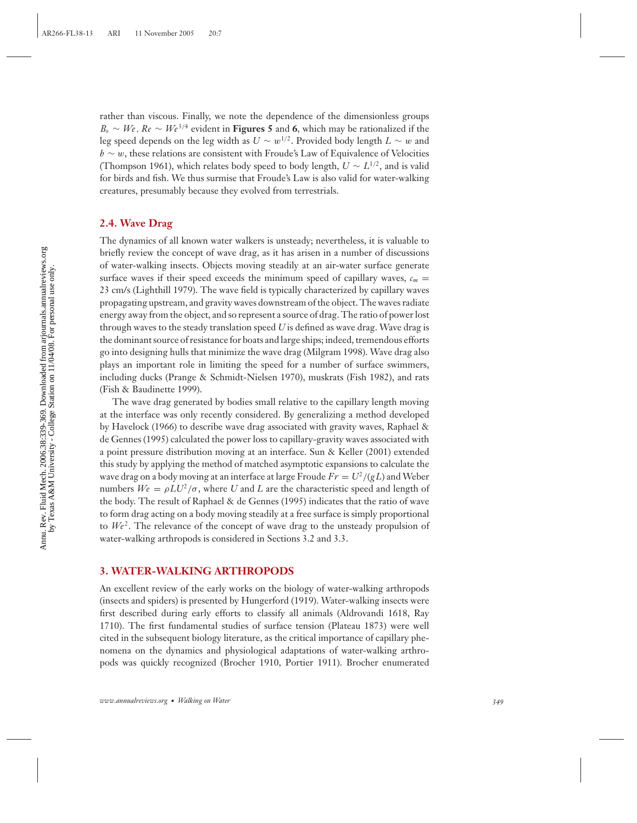rather than viscous. Finally, we note the dependence of the dimensionless groups  $B_0 \sim W_e$ ,  $Re \sim We^{3/4}$  evident in **Figures 5** and **6**, which may be rationalized if the leg speed depends on the leg width as  $U \sim w^{1/2}$ . Provided body length  $L \sim w$  and *h* ∼ w, these relations are consistent with Froude's Law of Equivalence of Velocities (Thompson 1961), which relates body speed to body length,  $U \sim L^{1/2}$ , and is valid for birds and fish. We thus surmise that Froude's Law is also valid for water-walking creatures, presumably because they evolved from terrestrials.

# **2.4. Wave Drag**

The dynamics of all known water walkers is unsteady; nevertheless, it is valuable to briefly review the concept of wave drag, as it has arisen in a number of discussions of water-walking insects. Objects moving steadily at an air-water surface generate surface waves if their speed exceeds the minimum speed of capillary waves,  $c_m$  = 23 cm/s (Lighthill 1979). The wave field is typically characterized by capillary waves propagating upstream, and gravity waves downstream of the object. The waves radiate energy away from the object, and so represent a source of drag. The ratio of power lost through waves to the steady translation speed *U* is defined as wave drag. Wave drag is the dominant source of resistance for boats and large ships; indeed, tremendous efforts go into designing hulls that minimize the wave drag (Milgram 1998). Wave drag also plays an important role in limiting the speed for a number of surface swimmers, including ducks (Prange & Schmidt-Nielsen 1970), muskrats (Fish 1982), and rats (Fish & Baudinette 1999).

The wave drag generated by bodies small relative to the capillary length moving at the interface was only recently considered. By generalizing a method developed by Havelock (1966) to describe wave drag associated with gravity waves, Raphael & de Gennes (1995) calculated the power loss to capillary-gravity waves associated with a point pressure distribution moving at an interface. Sun & Keller (2001) extended this study by applying the method of matched asymptotic expansions to calculate the wave drag on a body moving at an interface at large Froude  $Fr = U^2/(gL)$  and Weber numbers  $W_e = \rho L U^2 / \sigma$ , where *U* and *L* are the characteristic speed and length of the body. The result of Raphael & de Gennes (1995) indicates that the ratio of wave to form drag acting on a body moving steadily at a free surface is simply proportional to *We*<sup>2</sup>. The relevance of the concept of wave drag to the unsteady propulsion of water-walking arthropods is considered in Sections 3.2 and 3.3.

## **3. WATER-WALKING ARTHROPODS**

An excellent review of the early works on the biology of water-walking arthropods (insects and spiders) is presented by Hungerford (1919). Water-walking insects were first described during early efforts to classify all animals (Aldrovandi 1618, Ray 1710). The first fundamental studies of surface tension (Plateau 1873) were well cited in the subsequent biology literature, as the critical importance of capillary phenomena on the dynamics and physiological adaptations of water-walking arthropods was quickly recognized (Brocher 1910, Portier 1911). Brocher enumerated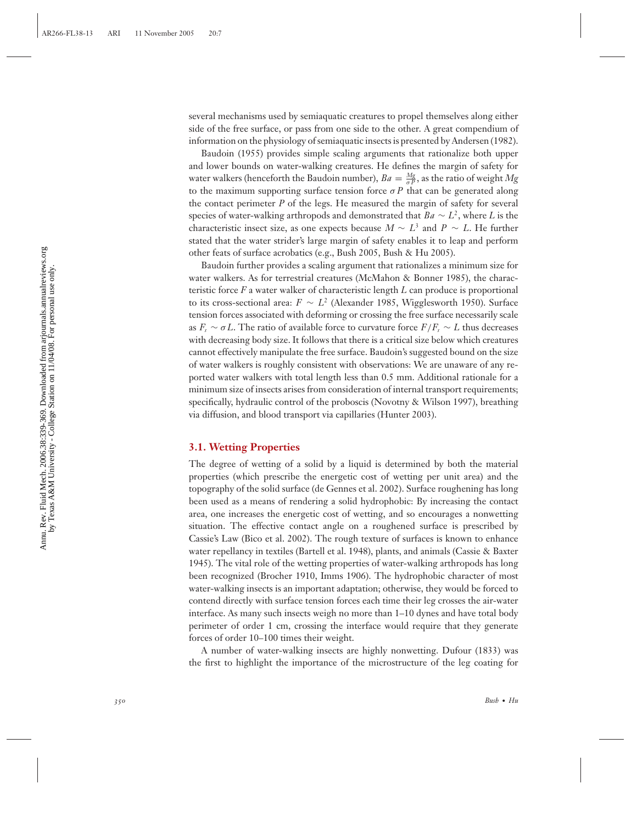several mechanisms used by semiaquatic creatures to propel themselves along either side of the free surface, or pass from one side to the other. A great compendium of information on the physiology of semiaquatic insects is presented by Andersen (1982).

Baudoin (1955) provides simple scaling arguments that rationalize both upper and lower bounds on water-walking creatures. He defines the margin of safety for water walkers (henceforth the Baudoin number),  $Ba = \frac{Mg}{\sigma P}$ , as the ratio of weight *Mg* to the maximum supporting surface tension force  $\sigma P$  that can be generated along the contact perimeter *P* of the legs. He measured the margin of safety for several species of water-walking arthropods and demonstrated that *Ba* ∼ *L*2, where *L* is the characteristic insect size, as one expects because  $M \sim L^3$  and  $P \sim L$ . He further stated that the water strider's large margin of safety enables it to leap and perform other feats of surface acrobatics (e.g., Bush 2005, Bush & Hu 2005).

Baudoin further provides a scaling argument that rationalizes a minimum size for water walkers. As for terrestrial creatures (McMahon & Bonner 1985), the characteristic force *F* a water walker of characteristic length *L* can produce is proportional to its cross-sectional area: *F* ∼ *L*<sup>2</sup> (Alexander 1985, Wigglesworth 1950). Surface tension forces associated with deforming or crossing the free surface necessarily scale as  $F_s \sim \sigma L$ . The ratio of available force to curvature force  $F/F_s \sim L$  thus decreases with decreasing body size. It follows that there is a critical size below which creatures cannot effectively manipulate the free surface. Baudoin's suggested bound on the size of water walkers is roughly consistent with observations: We are unaware of any reported water walkers with total length less than 0.5 mm. Additional rationale for a minimum size of insects arises from consideration of internal transport requirements; specifically, hydraulic control of the proboscis (Novotny & Wilson 1997), breathing via diffusion, and blood transport via capillaries (Hunter 2003).

# **3.1. Wetting Properties**

The degree of wetting of a solid by a liquid is determined by both the material properties (which prescribe the energetic cost of wetting per unit area) and the topography of the solid surface (de Gennes et al. 2002). Surface roughening has long been used as a means of rendering a solid hydrophobic: By increasing the contact area, one increases the energetic cost of wetting, and so encourages a nonwetting situation. The effective contact angle on a roughened surface is prescribed by Cassie's Law (Bico et al. 2002). The rough texture of surfaces is known to enhance water repellancy in textiles (Bartell et al. 1948), plants, and animals (Cassie & Baxter 1945). The vital role of the wetting properties of water-walking arthropods has long been recognized (Brocher 1910, Imms 1906). The hydrophobic character of most water-walking insects is an important adaptation; otherwise, they would be forced to contend directly with surface tension forces each time their leg crosses the air-water interface. As many such insects weigh no more than 1–10 dynes and have total body perimeter of order 1 cm, crossing the interface would require that they generate forces of order 10–100 times their weight.

A number of water-walking insects are highly nonwetting. Dufour (1833) was the first to highlight the importance of the microstructure of the leg coating for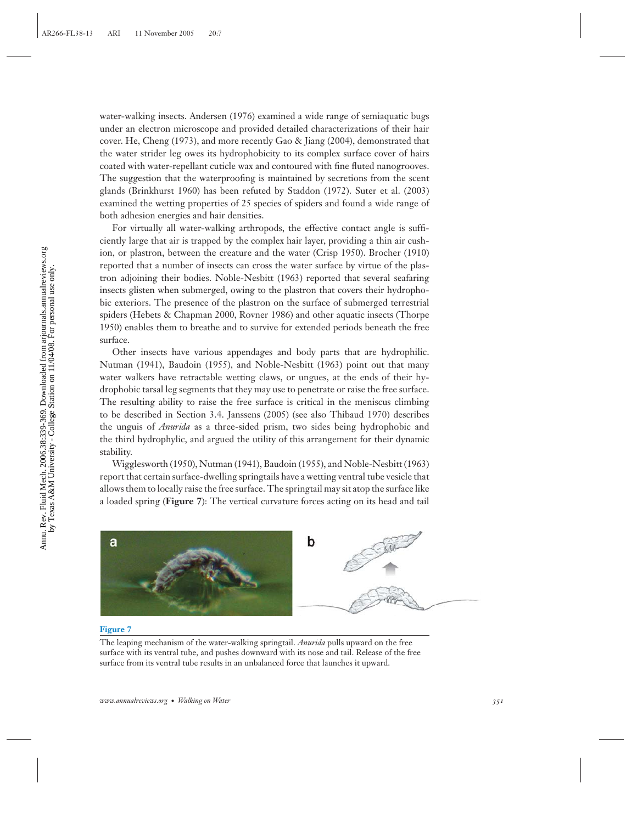water-walking insects. Andersen (1976) examined a wide range of semiaquatic bugs under an electron microscope and provided detailed characterizations of their hair cover. He, Cheng (1973), and more recently Gao & Jiang (2004), demonstrated that the water strider leg owes its hydrophobicity to its complex surface cover of hairs coated with water-repellant cuticle wax and contoured with fine fluted nanogrooves. The suggestion that the waterproofing is maintained by secretions from the scent glands (Brinkhurst 1960) has been refuted by Staddon (1972). Suter et al. (2003) examined the wetting properties of 25 species of spiders and found a wide range of both adhesion energies and hair densities.

For virtually all water-walking arthropods, the effective contact angle is sufficiently large that air is trapped by the complex hair layer, providing a thin air cushion, or plastron, between the creature and the water (Crisp 1950). Brocher (1910) reported that a number of insects can cross the water surface by virtue of the plastron adjoining their bodies. Noble-Nesbitt (1963) reported that several seafaring insects glisten when submerged, owing to the plastron that covers their hydrophobic exteriors. The presence of the plastron on the surface of submerged terrestrial spiders (Hebets & Chapman 2000, Rovner 1986) and other aquatic insects (Thorpe 1950) enables them to breathe and to survive for extended periods beneath the free surface.

Other insects have various appendages and body parts that are hydrophilic. Nutman (1941), Baudoin (1955), and Noble-Nesbitt (1963) point out that many water walkers have retractable wetting claws, or ungues, at the ends of their hydrophobic tarsal leg segments that they may use to penetrate or raise the free surface. The resulting ability to raise the free surface is critical in the meniscus climbing to be described in Section 3.4. Janssens (2005) (see also Thibaud 1970) describes the unguis of *Anurida* as a three-sided prism, two sides being hydrophobic and the third hydrophylic, and argued the utility of this arrangement for their dynamic stability.

Wigglesworth (1950), Nutman (1941), Baudoin (1955), and Noble-Nesbitt (1963) report that certain surface-dwelling springtails have a wetting ventral tube vesicle that allows them to locally raise the free surface. The springtail may sit atop the surface like a loaded spring (**Figure 7**): The vertical curvature forces acting on its head and tail



#### **Figure 7**

The leaping mechanism of the water-walking springtail. *Anurida* pulls upward on the free surface with its ventral tube, and pushes downward with its nose and tail. Release of the free surface from its ventral tube results in an unbalanced force that launches it upward.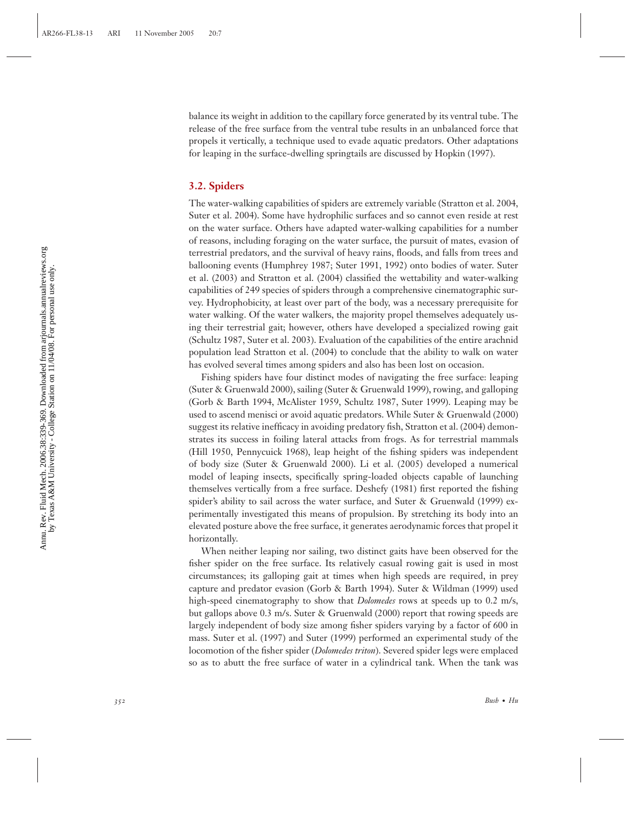balance its weight in addition to the capillary force generated by its ventral tube. The release of the free surface from the ventral tube results in an unbalanced force that propels it vertically, a technique used to evade aquatic predators. Other adaptations for leaping in the surface-dwelling springtails are discussed by Hopkin (1997).

#### **3.2. Spiders**

The water-walking capabilities of spiders are extremely variable (Stratton et al. 2004, Suter et al. 2004). Some have hydrophilic surfaces and so cannot even reside at rest on the water surface. Others have adapted water-walking capabilities for a number of reasons, including foraging on the water surface, the pursuit of mates, evasion of terrestrial predators, and the survival of heavy rains, floods, and falls from trees and ballooning events (Humphrey 1987; Suter 1991, 1992) onto bodies of water. Suter et al. (2003) and Stratton et al. (2004) classified the wettability and water-walking capabilities of 249 species of spiders through a comprehensive cinematographic survey. Hydrophobicity, at least over part of the body, was a necessary prerequisite for water walking. Of the water walkers, the majority propel themselves adequately using their terrestrial gait; however, others have developed a specialized rowing gait (Schultz 1987, Suter et al. 2003). Evaluation of the capabilities of the entire arachnid population lead Stratton et al. (2004) to conclude that the ability to walk on water has evolved several times among spiders and also has been lost on occasion.

Fishing spiders have four distinct modes of navigating the free surface: leaping (Suter & Gruenwald 2000), sailing (Suter & Gruenwald 1999), rowing, and galloping (Gorb & Barth 1994, McAlister 1959, Schultz 1987, Suter 1999). Leaping may be used to ascend menisci or avoid aquatic predators. While Suter & Gruenwald (2000) suggest its relative inefficacy in avoiding predatory fish, Stratton et al. (2004) demonstrates its success in foiling lateral attacks from frogs. As for terrestrial mammals (Hill 1950, Pennycuick 1968), leap height of the fishing spiders was independent of body size (Suter & Gruenwald 2000). Li et al. (2005) developed a numerical model of leaping insects, specifically spring-loaded objects capable of launching themselves vertically from a free surface. Deshefy (1981) first reported the fishing spider's ability to sail across the water surface, and Suter & Gruenwald (1999) experimentally investigated this means of propulsion. By stretching its body into an elevated posture above the free surface, it generates aerodynamic forces that propel it horizontally.

When neither leaping nor sailing, two distinct gaits have been observed for the fisher spider on the free surface. Its relatively casual rowing gait is used in most circumstances; its galloping gait at times when high speeds are required, in prey capture and predator evasion (Gorb & Barth 1994). Suter & Wildman (1999) used high-speed cinematography to show that *Dolomedes* rows at speeds up to 0.2 m/s, but gallops above 0.3 m/s. Suter & Gruenwald (2000) report that rowing speeds are largely independent of body size among fisher spiders varying by a factor of 600 in mass. Suter et al. (1997) and Suter (1999) performed an experimental study of the locomotion of the fisher spider (*Dolomedes triton*). Severed spider legs were emplaced so as to abutt the free surface of water in a cylindrical tank. When the tank was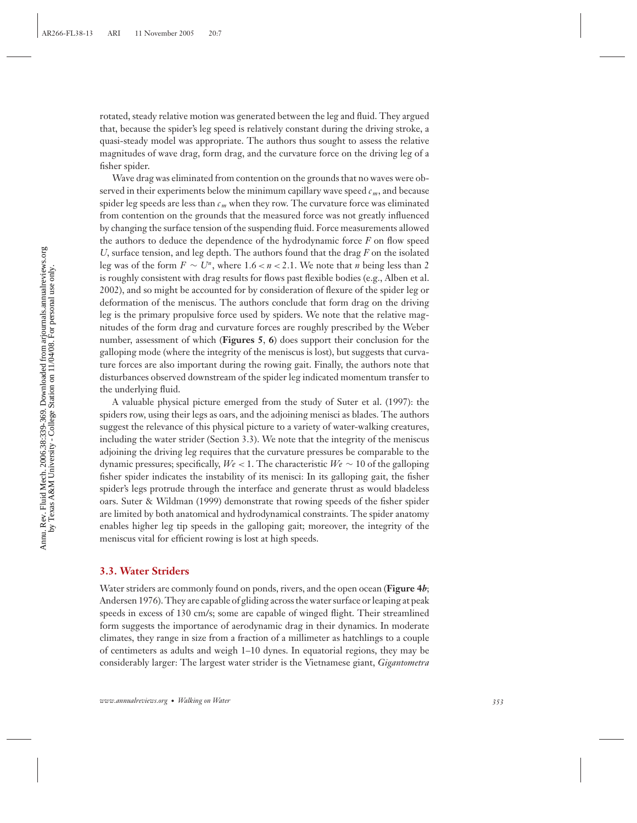Wave drag was eliminated from contention on the grounds that no waves were observed in their experiments below the minimum capillary wave speed  $c_m$ , and because

rotated, steady relative motion was generated between the leg and fluid. They argued that, because the spider's leg speed is relatively constant during the driving stroke, a quasi-steady model was appropriate. The authors thus sought to assess the relative magnitudes of wave drag, form drag, and the curvature force on the driving leg of a fisher spider.

spider leg speeds are less than  $c_m$  when they row. The curvature force was eliminated from contention on the grounds that the measured force was not greatly influenced by changing the surface tension of the suspending fluid. Force measurements allowed the authors to deduce the dependence of the hydrodynamic force *F* on flow speed *U*, surface tension, and leg depth. The authors found that the drag *F* on the isolated leg was of the form  $F \sim U^n$ , where 1.6 <  $n$  < 2.1. We note that *n* being less than 2 is roughly consistent with drag results for flows past flexible bodies (e.g., Alben et al. 2002), and so might be accounted for by consideration of flexure of the spider leg or deformation of the meniscus. The authors conclude that form drag on the driving leg is the primary propulsive force used by spiders. We note that the relative magnitudes of the form drag and curvature forces are roughly prescribed by the Weber number, assessment of which (**Figures 5**, **6**) does support their conclusion for the galloping mode (where the integrity of the meniscus is lost), but suggests that curvature forces are also important during the rowing gait. Finally, the authors note that disturbances observed downstream of the spider leg indicated momentum transfer to the underlying fluid.

A valuable physical picture emerged from the study of Suter et al. (1997): the spiders row, using their legs as oars, and the adjoining menisci as blades. The authors suggest the relevance of this physical picture to a variety of water-walking creatures, including the water strider (Section 3.3). We note that the integrity of the meniscus adjoining the driving leg requires that the curvature pressures be comparable to the dynamic pressures; specifically, *We* < 1. The characteristic *We* ∼ 10 of the galloping fisher spider indicates the instability of its menisci: In its galloping gait, the fisher spider's legs protrude through the interface and generate thrust as would bladeless oars. Suter & Wildman (1999) demonstrate that rowing speeds of the fisher spider are limited by both anatomical and hydrodynamical constraints. The spider anatomy enables higher leg tip speeds in the galloping gait; moreover, the integrity of the meniscus vital for efficient rowing is lost at high speeds.

## **3.3. Water Striders**

Water striders are commonly found on ponds, rivers, and the open ocean (**Figure 4***b*; Andersen 1976). They are capable of gliding across the water surface or leaping at peak speeds in excess of 130 cm/s; some are capable of winged flight. Their streamlined form suggests the importance of aerodynamic drag in their dynamics. In moderate climates, they range in size from a fraction of a millimeter as hatchlings to a couple of centimeters as adults and weigh 1–10 dynes. In equatorial regions, they may be considerably larger: The largest water strider is the Vietnamese giant, *Gigantometra*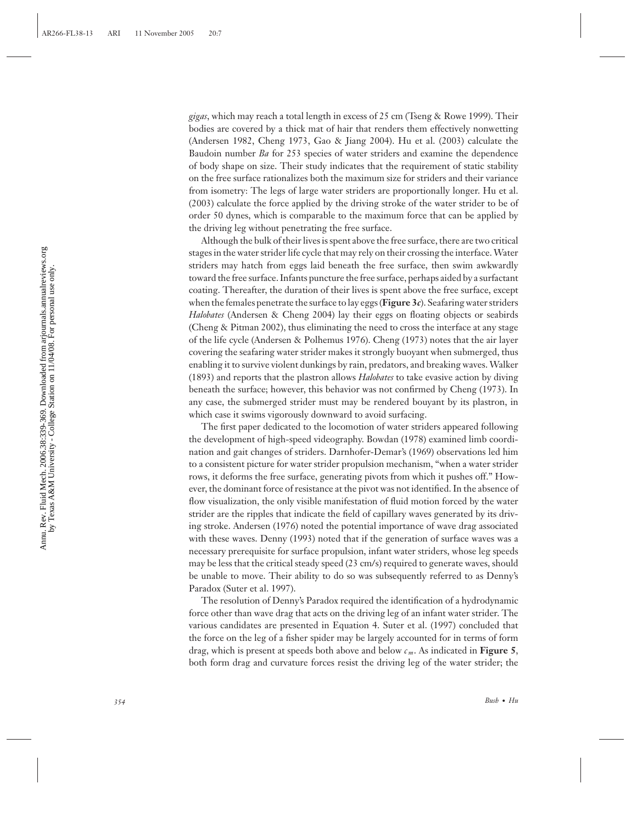*gigas*, which may reach a total length in excess of 25 cm (Tseng & Rowe 1999). Their bodies are covered by a thick mat of hair that renders them effectively nonwetting (Andersen 1982, Cheng 1973, Gao & Jiang 2004). Hu et al. (2003) calculate the Baudoin number *Ba* for 253 species of water striders and examine the dependence of body shape on size. Their study indicates that the requirement of static stability on the free surface rationalizes both the maximum size for striders and their variance from isometry: The legs of large water striders are proportionally longer. Hu et al. (2003) calculate the force applied by the driving stroke of the water strider to be of order 50 dynes, which is comparable to the maximum force that can be applied by the driving leg without penetrating the free surface.

Although the bulk of their lives is spent above the free surface, there are two critical stages in the water strider life cycle that may rely on their crossing the interface. Water striders may hatch from eggs laid beneath the free surface, then swim awkwardly toward the free surface. Infants puncture the free surface, perhaps aided by a surfactant coating. Thereafter, the duration of their lives is spent above the free surface, except when the females penetrate the surface to lay eggs (**Figure 3***c*). Seafaring water striders *Halobates* (Andersen & Cheng 2004) lay their eggs on floating objects or seabirds (Cheng & Pitman 2002), thus eliminating the need to cross the interface at any stage of the life cycle (Andersen & Polhemus 1976). Cheng (1973) notes that the air layer covering the seafaring water strider makes it strongly buoyant when submerged, thus enabling it to survive violent dunkings by rain, predators, and breaking waves. Walker (1893) and reports that the plastron allows *Halobates* to take evasive action by diving beneath the surface; however, this behavior was not confirmed by Cheng (1973). In any case, the submerged strider must may be rendered bouyant by its plastron, in which case it swims vigorously downward to avoid surfacing.

The first paper dedicated to the locomotion of water striders appeared following the development of high-speed videography. Bowdan (1978) examined limb coordination and gait changes of striders. Darnhofer-Demar's (1969) observations led him to a consistent picture for water strider propulsion mechanism, "when a water strider rows, it deforms the free surface, generating pivots from which it pushes off." However, the dominant force of resistance at the pivot was not identified. In the absence of flow visualization, the only visible manifestation of fluid motion forced by the water strider are the ripples that indicate the field of capillary waves generated by its driving stroke. Andersen (1976) noted the potential importance of wave drag associated with these waves. Denny (1993) noted that if the generation of surface waves was a necessary prerequisite for surface propulsion, infant water striders, whose leg speeds may be less that the critical steady speed (23 cm/s) required to generate waves, should be unable to move. Their ability to do so was subsequently referred to as Denny's Paradox (Suter et al. 1997).

The resolution of Denny's Paradox required the identification of a hydrodynamic force other than wave drag that acts on the driving leg of an infant water strider. The various candidates are presented in Equation 4. Suter et al. (1997) concluded that the force on the leg of a fisher spider may be largely accounted for in terms of form drag, which is present at speeds both above and below  $c_m$ . As indicated in **Figure 5**, both form drag and curvature forces resist the driving leg of the water strider; the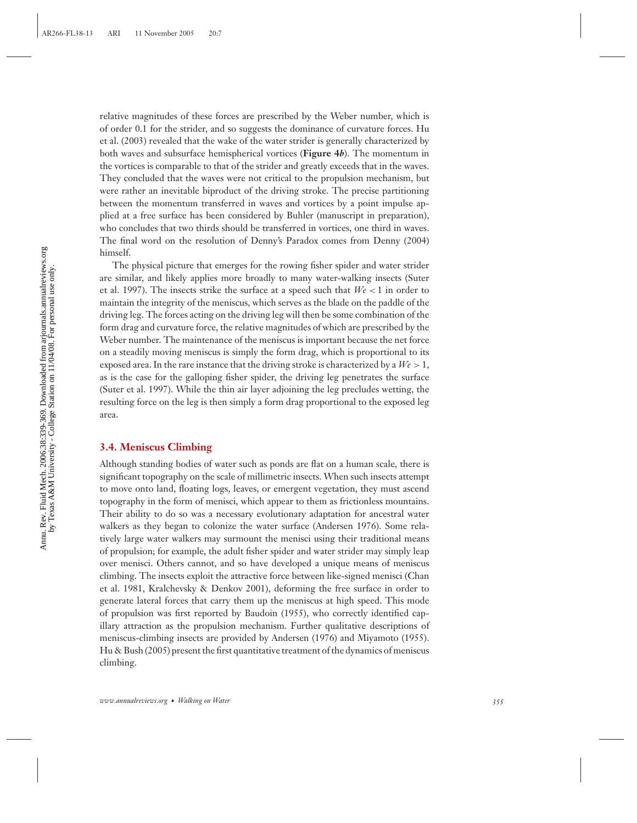relative magnitudes of these forces are prescribed by the Weber number, which is of order 0.1 for the strider, and so suggests the dominance of curvature forces. Hu et al. (2003) revealed that the wake of the water strider is generally characterized by both waves and subsurface hemispherical vortices (**Figure 4***b*). The momentum in the vortices is comparable to that of the strider and greatly exceeds that in the waves. They concluded that the waves were not critical to the propulsion mechanism, but were rather an inevitable biproduct of the driving stroke. The precise partitioning between the momentum transferred in waves and vortices by a point impulse applied at a free surface has been considered by Buhler (manuscript in preparation), who concludes that two thirds should be transferred in vortices, one third in waves. The final word on the resolution of Denny's Paradox comes from Denny (2004) himself.

The physical picture that emerges for the rowing fisher spider and water strider are similar, and likely applies more broadly to many water-walking insects (Suter et al. 1997). The insects strike the surface at a speed such that *We* < 1 in order to maintain the integrity of the meniscus, which serves as the blade on the paddle of the driving leg. The forces acting on the driving leg will then be some combination of the form drag and curvature force, the relative magnitudes of which are prescribed by the Weber number. The maintenance of the meniscus is important because the net force on a steadily moving meniscus is simply the form drag, which is proportional to its exposed area. In the rare instance that the driving stroke is characterized by a  $We > 1$ , as is the case for the galloping fisher spider, the driving leg penetrates the surface (Suter et al. 1997). While the thin air layer adjoining the leg precludes wetting, the resulting force on the leg is then simply a form drag proportional to the exposed leg area.

#### **3.4. Meniscus Climbing**

Although standing bodies of water such as ponds are flat on a human scale, there is significant topography on the scale of millimetric insects. When such insects attempt to move onto land, floating logs, leaves, or emergent vegetation, they must ascend topography in the form of menisci, which appear to them as frictionless mountains. Their ability to do so was a necessary evolutionary adaptation for ancestral water walkers as they began to colonize the water surface (Andersen 1976). Some relatively large water walkers may surmount the menisci using their traditional means of propulsion; for example, the adult fisher spider and water strider may simply leap over menisci. Others cannot, and so have developed a unique means of meniscus climbing. The insects exploit the attractive force between like-signed menisci (Chan et al. 1981, Kralchevsky & Denkov 2001), deforming the free surface in order to generate lateral forces that carry them up the meniscus at high speed. This mode of propulsion was first reported by Baudoin (1955), who correctly identified capillary attraction as the propulsion mechanism. Further qualitative descriptions of meniscus-climbing insects are provided by Andersen (1976) and Miyamoto (1955). Hu & Bush (2005) present the first quantitative treatment of the dynamics of meniscus climbing.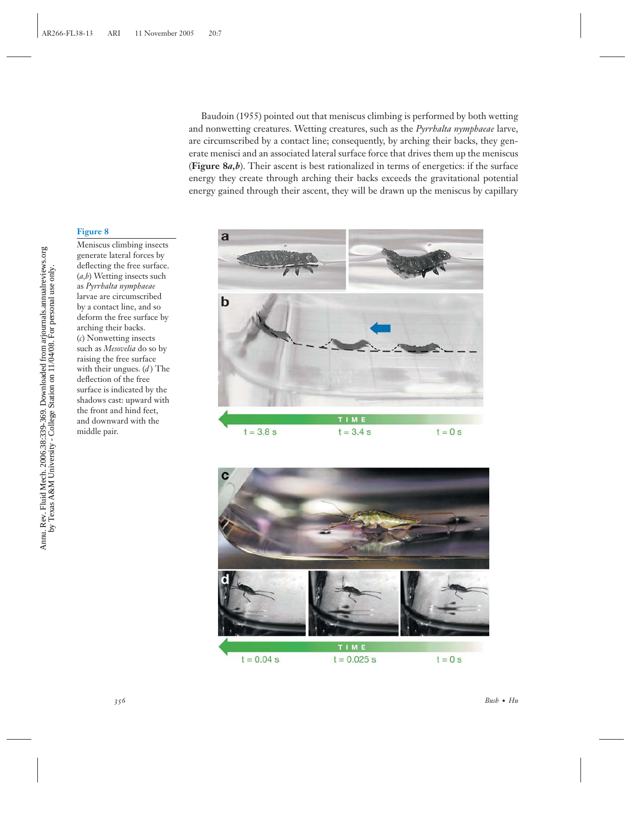Baudoin (1955) pointed out that meniscus climbing is performed by both wetting and nonwetting creatures. Wetting creatures, such as the *Pyrrhalta nymphaeae* larve, are circumscribed by a contact line; consequently, by arching their backs, they generate menisci and an associated lateral surface force that drives them up the meniscus (**Figure 8***a,b*). Their ascent is best rationalized in terms of energetics: if the surface energy they create through arching their backs exceeds the gravitational potential energy gained through their ascent, they will be drawn up the meniscus by capillary

#### **Figure 8**

Meniscus climbing insects generate lateral forces by deflecting the free surface. (*a,b*) Wetting insects such as *Pyrrhalta nymphaeae* larvae are circumscribed by a contact line, and so deform the free surface by arching their backs. (*c*) Nonwetting insects such as *Mesovelia* do so by raising the free surface with their ungues. (d) The deflection of the free surface is indicated by the shadows cast: upward with the front and hind feet, and downward with the middle pair.



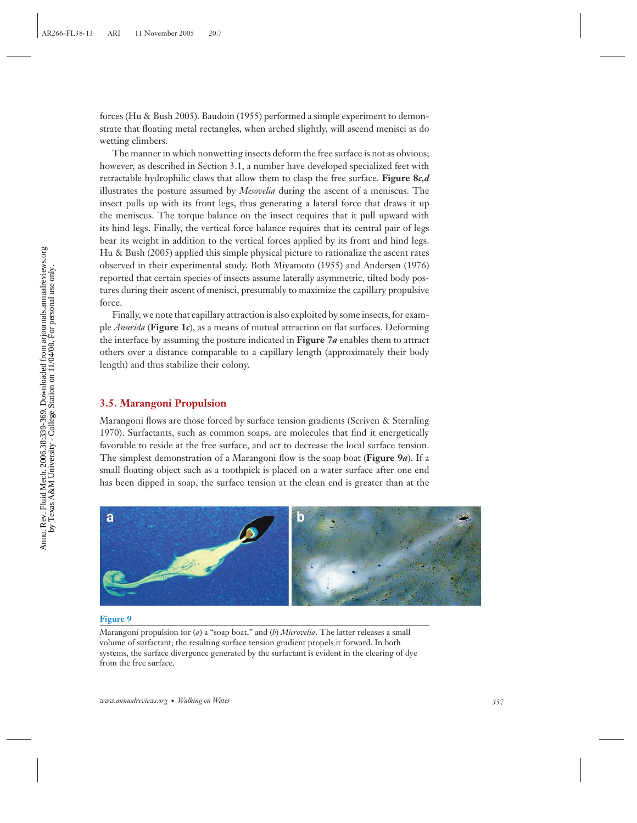forces (Hu & Bush 2005). Baudoin (1955) performed a simple experiment to demonstrate that floating metal rectangles, when arched slightly, will ascend menisci as do wetting climbers.

The manner in which nonwetting insects deform the free surface is not as obvious; however, as described in Section 3.1, a number have developed specialized feet with retractable hydrophilic claws that allow them to clasp the free surface. **Figure 8***c,d* illustrates the posture assumed by *Mesovelia* during the ascent of a meniscus. The insect pulls up with its front legs, thus generating a lateral force that draws it up the meniscus. The torque balance on the insect requires that it pull upward with its hind legs. Finally, the vertical force balance requires that its central pair of legs bear its weight in addition to the vertical forces applied by its front and hind legs. Hu & Bush (2005) applied this simple physical picture to rationalize the ascent rates observed in their experimental study. Both Miyamoto (1955) and Andersen (1976) reported that certain species of insects assume laterally asymmetric, tilted body postures during their ascent of menisci, presumably to maximize the capillary propulsive force.

Finally, we note that capillary attraction is also exploited by some insects, for example *Anurida* (**Figure 1***c*), as a means of mutual attraction on flat surfaces. Deforming the interface by assuming the posture indicated in **Figure 7***a* enables them to attract others over a distance comparable to a capillary length (approximately their body length) and thus stabilize their colony.

# **3.5. Marangoni Propulsion**

Marangoni flows are those forced by surface tension gradients (Scriven & Sternling 1970). Surfactants, such as common soaps, are molecules that find it energetically favorable to reside at the free surface, and act to decrease the local surface tension. The simplest demonstration of a Marangoni flow is the soap boat (**Figure 9***a*). If a small floating object such as a toothpick is placed on a water surface after one end has been dipped in soap, the surface tension at the clean end is greater than at the



#### **Figure 9**

Marangoni propulsion for (*a*) a "soap boat," and (*b*) *Microvelia*. The latter releases a small volume of surfactant; the resulting surface tension gradient propels it forward. In both systems, the surface divergence generated by the surfactant is evident in the clearing of dye from the free surface.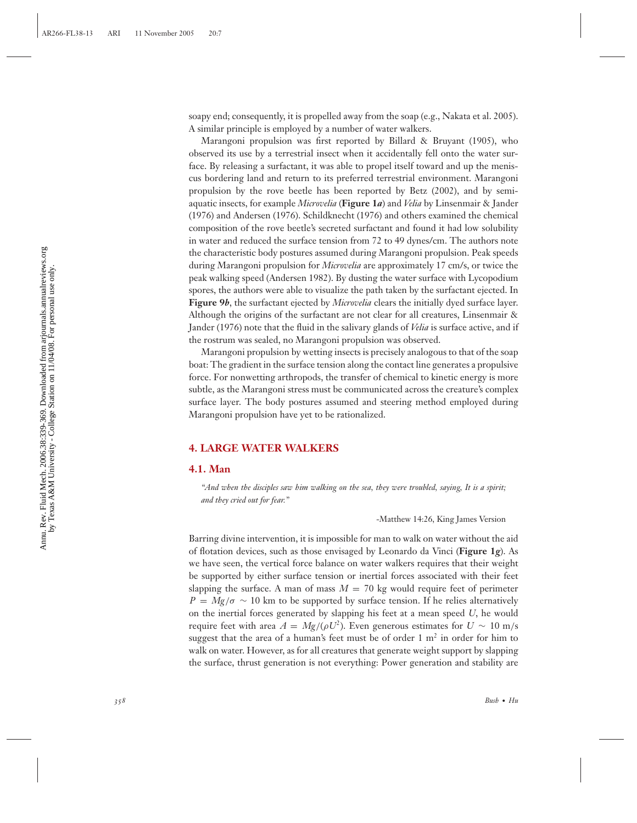soapy end; consequently, it is propelled away from the soap (e.g., Nakata et al. 2005). A similar principle is employed by a number of water walkers.

Marangoni propulsion was first reported by Billard & Bruyant (1905), who observed its use by a terrestrial insect when it accidentally fell onto the water surface. By releasing a surfactant, it was able to propel itself toward and up the meniscus bordering land and return to its preferred terrestrial environment. Marangoni propulsion by the rove beetle has been reported by Betz (2002), and by semiaquatic insects, for example *Microvelia* (**Figure 1***a*) and *Velia* by Linsenmair & Jander (1976) and Andersen (1976). Schildknecht (1976) and others examined the chemical composition of the rove beetle's secreted surfactant and found it had low solubility in water and reduced the surface tension from 72 to 49 dynes/cm. The authors note the characteristic body postures assumed during Marangoni propulsion. Peak speeds during Marangoni propulsion for *Microvelia* are approximately 17 cm/s, or twice the peak walking speed (Andersen 1982). By dusting the water surface with Lycopodium spores, the authors were able to visualize the path taken by the surfactant ejected. In **Figure 9***b*, the surfactant ejected by *Microvelia* clears the initially dyed surface layer. Although the origins of the surfactant are not clear for all creatures, Linsenmair & Jander (1976) note that the fluid in the salivary glands of *Velia* is surface active, and if the rostrum was sealed, no Marangoni propulsion was observed.

Marangoni propulsion by wetting insects is precisely analogous to that of the soap boat: The gradient in the surface tension along the contact line generates a propulsive force. For nonwetting arthropods, the transfer of chemical to kinetic energy is more subtle, as the Marangoni stress must be communicated across the creature's complex surface layer. The body postures assumed and steering method employed during Marangoni propulsion have yet to be rationalized.

## **4. LARGE WATER WALKERS**

#### **4.1. Man**

*"And when the disciples saw him walking on the sea, they were troubled, saying, It is a spirit; and they cried out for fear."*

-Matthew 14:26, King James Version

Barring divine intervention, it is impossible for man to walk on water without the aid of flotation devices, such as those envisaged by Leonardo da Vinci (**Figure 1***g*). As we have seen, the vertical force balance on water walkers requires that their weight be supported by either surface tension or inertial forces associated with their feet slapping the surface. A man of mass  $M = 70$  kg would require feet of perimeter  $P = Mg/\sigma \sim 10$  km to be supported by surface tension. If he relies alternatively on the inertial forces generated by slapping his feet at a mean speed *U*, he would require feet with area  $A = Mg/(\rho U^2)$ . Even generous estimates for  $U \sim 10 \text{ m/s}$ suggest that the area of a human's feet must be of order  $1 \text{ m}^2$  in order for him to walk on water. However, as for all creatures that generate weight support by slapping the surface, thrust generation is not everything: Power generation and stability are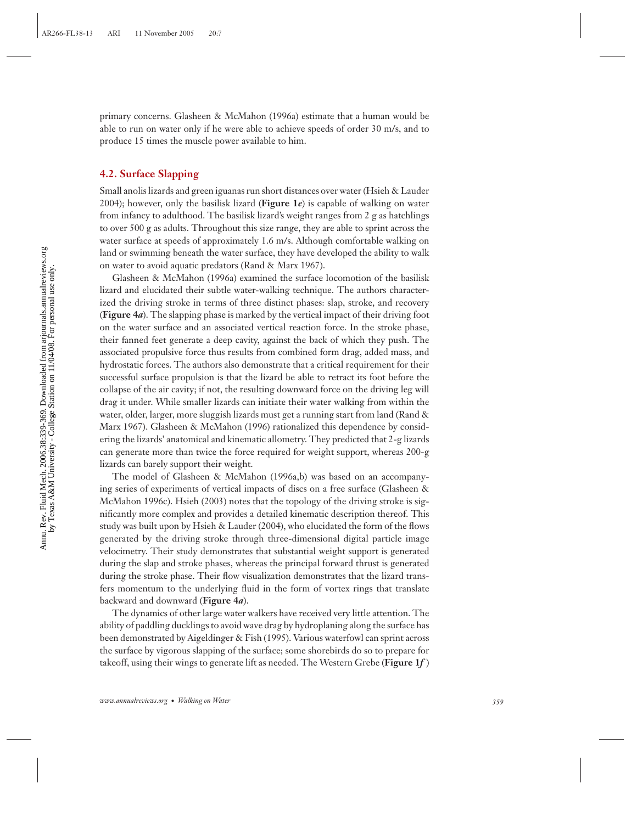primary concerns. Glasheen & McMahon (1996a) estimate that a human would be able to run on water only if he were able to achieve speeds of order 30 m/s, and to produce 15 times the muscle power available to him.

## **4.2. Surface Slapping**

Small anolis lizards and green iguanas run short distances over water (Hsieh & Lauder 2004); however, only the basilisk lizard (**Figure 1***e*) is capable of walking on water from infancy to adulthood. The basilisk lizard's weight ranges from 2 g as hatchlings to over 500 g as adults. Throughout this size range, they are able to sprint across the water surface at speeds of approximately 1.6 m/s. Although comfortable walking on land or swimming beneath the water surface, they have developed the ability to walk on water to avoid aquatic predators (Rand & Marx 1967).

Glasheen & McMahon (1996a) examined the surface locomotion of the basilisk lizard and elucidated their subtle water-walking technique. The authors characterized the driving stroke in terms of three distinct phases: slap, stroke, and recovery (**Figure 4***a*). The slapping phase is marked by the vertical impact of their driving foot on the water surface and an associated vertical reaction force. In the stroke phase, their fanned feet generate a deep cavity, against the back of which they push. The associated propulsive force thus results from combined form drag, added mass, and hydrostatic forces. The authors also demonstrate that a critical requirement for their successful surface propulsion is that the lizard be able to retract its foot before the collapse of the air cavity; if not, the resulting downward force on the driving leg will drag it under. While smaller lizards can initiate their water walking from within the water, older, larger, more sluggish lizards must get a running start from land (Rand & Marx 1967). Glasheen & McMahon (1996) rationalized this dependence by considering the lizards' anatomical and kinematic allometry. They predicted that 2-g lizards can generate more than twice the force required for weight support, whereas 200-g lizards can barely support their weight.

The model of Glasheen & McMahon (1996a,b) was based on an accompanying series of experiments of vertical impacts of discs on a free surface (Glasheen & McMahon 1996c). Hsieh (2003) notes that the topology of the driving stroke is significantly more complex and provides a detailed kinematic description thereof. This study was built upon by Hsieh & Lauder (2004), who elucidated the form of the flows generated by the driving stroke through three-dimensional digital particle image velocimetry. Their study demonstrates that substantial weight support is generated during the slap and stroke phases, whereas the principal forward thrust is generated during the stroke phase. Their flow visualization demonstrates that the lizard transfers momentum to the underlying fluid in the form of vortex rings that translate backward and downward (**Figure 4***a*).

The dynamics of other large water walkers have received very little attention. The ability of paddling ducklings to avoid wave drag by hydroplaning along the surface has been demonstrated by Aigeldinger & Fish (1995). Various waterfowl can sprint across the surface by vigorous slapping of the surface; some shorebirds do so to prepare for takeoff, using their wings to generate lift as needed. The Western Grebe (**Figure 1***f* )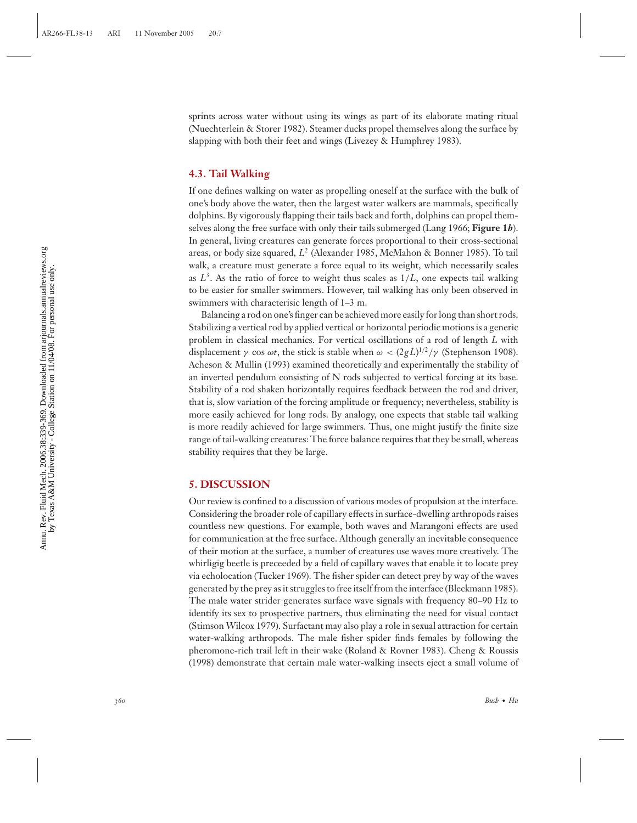sprints across water without using its wings as part of its elaborate mating ritual (Nuechterlein & Storer 1982). Steamer ducks propel themselves along the surface by slapping with both their feet and wings (Livezey & Humphrey 1983).

#### **4.3. Tail Walking**

If one defines walking on water as propelling oneself at the surface with the bulk of one's body above the water, then the largest water walkers are mammals, specifically dolphins. By vigorously flapping their tails back and forth, dolphins can propel themselves along the free surface with only their tails submerged (Lang 1966; **Figure 1***h*). In general, living creatures can generate forces proportional to their cross-sectional areas, or body size squared, *L*<sup>2</sup> (Alexander 1985, McMahon & Bonner 1985). To tail walk, a creature must generate a force equal to its weight, which necessarily scales as  $L^3$ . As the ratio of force to weight thus scales as  $1/L$ , one expects tail walking to be easier for smaller swimmers. However, tail walking has only been observed in swimmers with characterisic length of 1–3 m.

Balancing a rod on one's finger can be achieved more easily for long than short rods. Stabilizing a vertical rod by applied vertical or horizontal periodic motions is a generic problem in classical mechanics. For vertical oscillations of a rod of length *L* with displacement  $\gamma$  cos  $\omega t$ , the stick is stable when  $\omega < (2gL)^{1/2}/\gamma$  (Stephenson 1908). Acheson & Mullin (1993) examined theoretically and experimentally the stability of an inverted pendulum consisting of N rods subjected to vertical forcing at its base. Stability of a rod shaken horizontally requires feedback between the rod and driver, that is, slow variation of the forcing amplitude or frequency; nevertheless, stability is more easily achieved for long rods. By analogy, one expects that stable tail walking is more readily achieved for large swimmers. Thus, one might justify the finite size range of tail-walking creatures: The force balance requires that they be small, whereas stability requires that they be large.

## **5. DISCUSSION**

Our review is confined to a discussion of various modes of propulsion at the interface. Considering the broader role of capillary effects in surface-dwelling arthropods raises countless new questions. For example, both waves and Marangoni effects are used for communication at the free surface. Although generally an inevitable consequence of their motion at the surface, a number of creatures use waves more creatively. The whirligig beetle is preceeded by a field of capillary waves that enable it to locate prey via echolocation (Tucker 1969). The fisher spider can detect prey by way of the waves generated by the prey as it struggles to free itself from the interface (Bleckmann 1985). The male water strider generates surface wave signals with frequency 80–90 Hz to identify its sex to prospective partners, thus eliminating the need for visual contact (Stimson Wilcox 1979). Surfactant may also play a role in sexual attraction for certain water-walking arthropods. The male fisher spider finds females by following the pheromone-rich trail left in their wake (Roland & Rovner 1983). Cheng & Roussis (1998) demonstrate that certain male water-walking insects eject a small volume of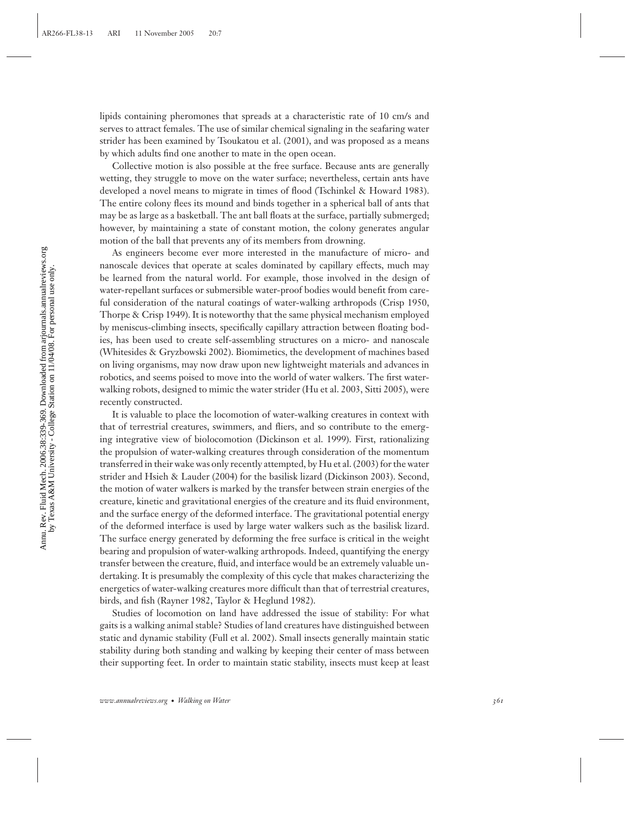lipids containing pheromones that spreads at a characteristic rate of 10 cm/s and serves to attract females. The use of similar chemical signaling in the seafaring water strider has been examined by Tsoukatou et al. (2001), and was proposed as a means by which adults find one another to mate in the open ocean.

Collective motion is also possible at the free surface. Because ants are generally wetting, they struggle to move on the water surface; nevertheless, certain ants have developed a novel means to migrate in times of flood (Tschinkel & Howard 1983). The entire colony flees its mound and binds together in a spherical ball of ants that may be as large as a basketball. The ant ball floats at the surface, partially submerged; however, by maintaining a state of constant motion, the colony generates angular motion of the ball that prevents any of its members from drowning.

As engineers become ever more interested in the manufacture of micro- and nanoscale devices that operate at scales dominated by capillary effects, much may be learned from the natural world. For example, those involved in the design of water-repellant surfaces or submersible water-proof bodies would benefit from careful consideration of the natural coatings of water-walking arthropods (Crisp 1950, Thorpe & Crisp 1949). It is noteworthy that the same physical mechanism employed by meniscus-climbing insects, specifically capillary attraction between floating bodies, has been used to create self-assembling structures on a micro- and nanoscale (Whitesides & Gryzbowski 2002). Biomimetics, the development of machines based on living organisms, may now draw upon new lightweight materials and advances in robotics, and seems poised to move into the world of water walkers. The first waterwalking robots, designed to mimic the water strider (Hu et al. 2003, Sitti 2005), were recently constructed.

It is valuable to place the locomotion of water-walking creatures in context with that of terrestrial creatures, swimmers, and fliers, and so contribute to the emerging integrative view of biolocomotion (Dickinson et al. 1999). First, rationalizing the propulsion of water-walking creatures through consideration of the momentum transferred in their wake was only recently attempted, by Hu et al. (2003) for the water strider and Hsieh & Lauder (2004) for the basilisk lizard (Dickinson 2003). Second, the motion of water walkers is marked by the transfer between strain energies of the creature, kinetic and gravitational energies of the creature and its fluid environment, and the surface energy of the deformed interface. The gravitational potential energy of the deformed interface is used by large water walkers such as the basilisk lizard. The surface energy generated by deforming the free surface is critical in the weight bearing and propulsion of water-walking arthropods. Indeed, quantifying the energy transfer between the creature, fluid, and interface would be an extremely valuable undertaking. It is presumably the complexity of this cycle that makes characterizing the energetics of water-walking creatures more difficult than that of terrestrial creatures, birds, and fish (Rayner 1982, Taylor & Heglund 1982).

Studies of locomotion on land have addressed the issue of stability: For what gaits is a walking animal stable? Studies of land creatures have distinguished between static and dynamic stability (Full et al. 2002). Small insects generally maintain static stability during both standing and walking by keeping their center of mass between their supporting feet. In order to maintain static stability, insects must keep at least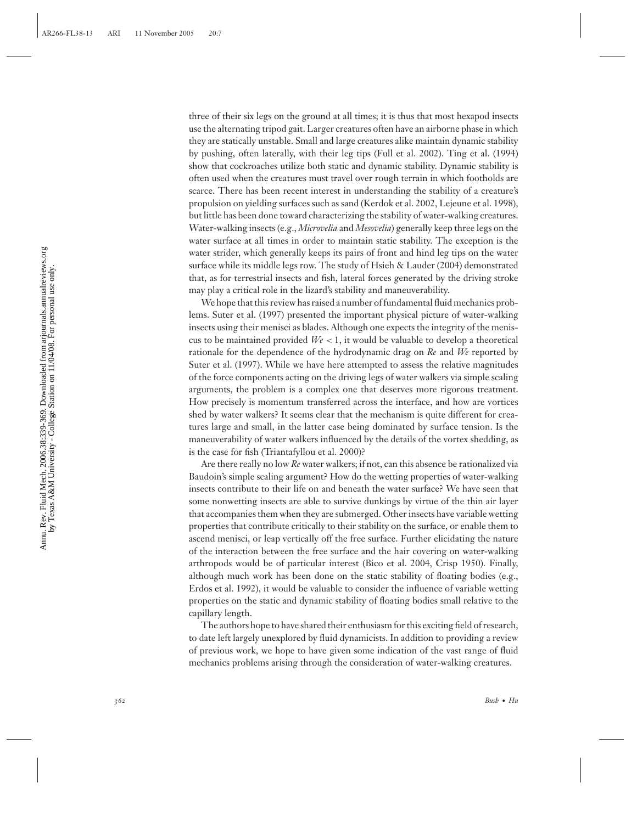three of their six legs on the ground at all times; it is thus that most hexapod insects use the alternating tripod gait. Larger creatures often have an airborne phase in which they are statically unstable. Small and large creatures alike maintain dynamic stability by pushing, often laterally, with their leg tips (Full et al. 2002). Ting et al. (1994) show that cockroaches utilize both static and dynamic stability. Dynamic stability is often used when the creatures must travel over rough terrain in which footholds are scarce. There has been recent interest in understanding the stability of a creature's propulsion on yielding surfaces such as sand (Kerdok et al. 2002, Lejeune et al. 1998), but little has been done toward characterizing the stability of water-walking creatures. Water-walking insects (e.g., *Microvelia* and *Mesovelia*) generally keep three legs on the water surface at all times in order to maintain static stability. The exception is the water strider, which generally keeps its pairs of front and hind leg tips on the water surface while its middle legs row. The study of Hsieh & Lauder (2004) demonstrated that, as for terrestrial insects and fish, lateral forces generated by the driving stroke may play a critical role in the lizard's stability and maneuverability.

We hope that this review has raised a number of fundamental fluid mechanics problems. Suter et al. (1997) presented the important physical picture of water-walking insects using their menisci as blades. Although one expects the integrity of the meniscus to be maintained provided *We* < 1, it would be valuable to develop a theoretical rationale for the dependence of the hydrodynamic drag on *Re* and *We* reported by Suter et al. (1997). While we have here attempted to assess the relative magnitudes of the force components acting on the driving legs of water walkers via simple scaling arguments, the problem is a complex one that deserves more rigorous treatment. How precisely is momentum transferred across the interface, and how are vortices shed by water walkers? It seems clear that the mechanism is quite different for creatures large and small, in the latter case being dominated by surface tension. Is the maneuverability of water walkers influenced by the details of the vortex shedding, as is the case for fish (Triantafyllou et al. 2000)?

Are there really no low *Re* water walkers; if not, can this absence be rationalized via Baudoin's simple scaling argument? How do the wetting properties of water-walking insects contribute to their life on and beneath the water surface? We have seen that some nonwetting insects are able to survive dunkings by virtue of the thin air layer that accompanies them when they are submerged. Other insects have variable wetting properties that contribute critically to their stability on the surface, or enable them to ascend menisci, or leap vertically off the free surface. Further elicidating the nature of the interaction between the free surface and the hair covering on water-walking arthropods would be of particular interest (Bico et al. 2004, Crisp 1950). Finally, although much work has been done on the static stability of floating bodies (e.g., Erdos et al. 1992), it would be valuable to consider the influence of variable wetting properties on the static and dynamic stability of floating bodies small relative to the capillary length.

The authors hope to have shared their enthusiasm for this exciting field of research, to date left largely unexplored by fluid dynamicists. In addition to providing a review of previous work, we hope to have given some indication of the vast range of fluid mechanics problems arising through the consideration of water-walking creatures.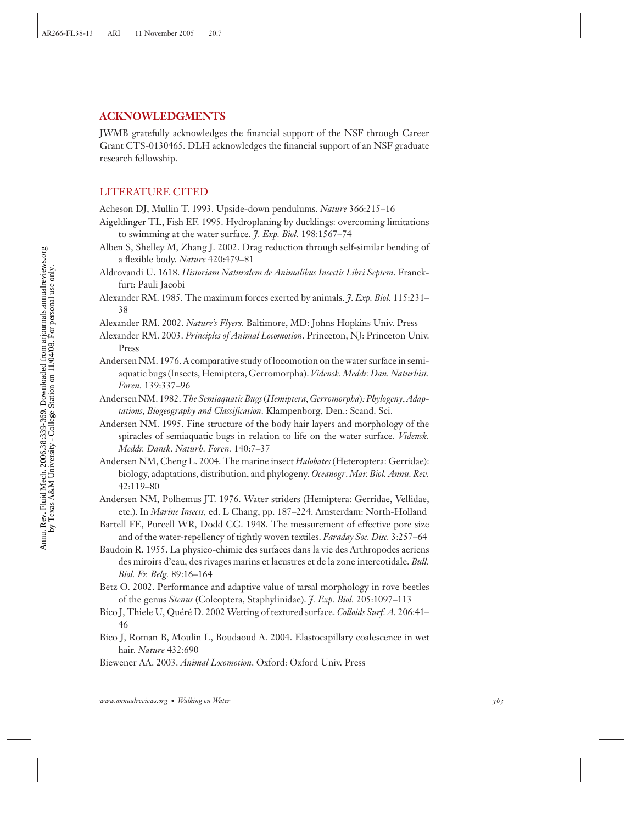## **ACKNOWLEDGMENTS**

JWMB gratefully acknowledges the financial support of the NSF through Career Grant CTS-0130465. DLH acknowledges the financial support of an NSF graduate research fellowship.

## LITERATURE CITED

Acheson DJ, Mullin T. 1993. Upside-down pendulums. *Nature* 366:215–16

- Aigeldinger TL, Fish EF. 1995. Hydroplaning by ducklings: overcoming limitations to swimming at the water surface. *J. Exp. Biol.* 198:1567–74
- Alben S, Shelley M, Zhang J. 2002. Drag reduction through self-similar bending of a flexible body. *Nature* 420:479–81
- Aldrovandi U. 1618. *Historiam Naturalem de Animalibus Insectis Libri Septem*. Franckfurt: Pauli Jacobi
- Alexander RM. 1985. The maximum forces exerted by animals. *J. Exp. Biol.* 115:231– 38
- Alexander RM. 2002. *Nature's Flyers*. Baltimore, MD: Johns Hopkins Univ. Press
- Alexander RM. 2003. *Principles of Animal Locomotion*. Princeton, NJ: Princeton Univ. Press
- Andersen NM. 1976. A comparative study of locomotion on the water surface in semiaquatic bugs (Insects, Hemiptera, Gerromorpha).*Vidensk. Meddr. Dan. Naturhist. Foren.* 139:337–96
- Andersen NM. 1982.*The Semiaquatic Bugs*(*Hemiptera*, *Gerromorpha*)*: Phylogeny*,*Adaptations*, *Biogeography and Classification*. Klampenborg, Den.: Scand. Sci.
- Andersen NM. 1995. Fine structure of the body hair layers and morphology of the spiracles of semiaquatic bugs in relation to life on the water surface. *Vidensk. Meddr. Dansk. Naturh. Foren.* 140:7–37
- Andersen NM, Cheng L. 2004. The marine insect *Halobates* (Heteroptera: Gerridae): biology, adaptations, distribution, and phylogeny. *Oceanogr*. *Mar. Biol. Annu. Rev.* 42:119–80
- Andersen NM, Polhemus JT. 1976. Water striders (Hemiptera: Gerridae, Vellidae, etc.). In *Marine Insects,* ed. L Chang, pp. 187–224. Amsterdam: North-Holland
- Bartell FE, Purcell WR, Dodd CG. 1948. The measurement of effective pore size and of the water-repellency of tightly woven textiles. *Faraday Soc. Disc.* 3:257–64
- Baudoin R. 1955. La physico-chimie des surfaces dans la vie des Arthropodes aeriens des miroirs d'eau, des rivages marins et lacustres et de la zone intercotidale. *Bull. Biol. Fr. Belg.* 89:16–164
- Betz O. 2002. Performance and adaptive value of tarsal morphology in rove beetles of the genus *Stenus* (Coleoptera, Staphylinidae). *J. Exp. Biol.* 205:1097–113
- Bico J, Thiele U, Quéré D. 2002 Wetting of textured surface. *Colloids Surf. A.* 206:41– 46
- Bico J, Roman B, Moulin L, Boudaoud A. 2004. Elastocapillary coalescence in wet hair. *Nature* 432:690

Biewener AA. 2003. *Animal Locomotion*. Oxford: Oxford Univ. Press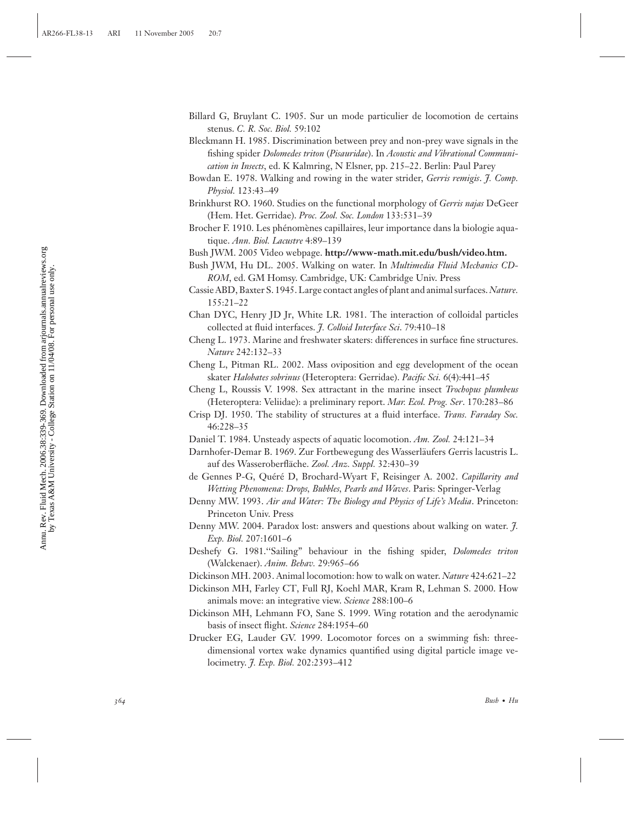- Billard G, Bruylant C. 1905. Sur un mode particulier de locomotion de certains stenus. *C. R. Soc. Biol.* 59:102
- Bleckmann H. 1985. Discrimination between prey and non-prey wave signals in the fishing spider *Dolomedes triton* (*Pisauridae*). In *Acoustic and Vibrational Communication in Insects*, ed. K Kalmring, N Elsner, pp. 215–22. Berlin: Paul Parey
- Bowdan E. 1978. Walking and rowing in the water strider, *Gerris remigis*. *J. Comp. Physiol.* 123:43–49
- Brinkhurst RO. 1960. Studies on the functional morphology of *Gerris najas* DeGeer (Hem. Het. Gerridae). *Proc. Zool. Soc. London* 133:531–39
- Brocher F. 1910. Les phénomènes capillaires, leur importance dans la biologie aquatique. *Ann. Biol. Lacustre* 4:89–139
- Bush JWM. 2005 Video webpage. **http://www-math.mit.edu/bush/video.htm.**
- Bush JWM, Hu DL. 2005. Walking on water. In *Multimedia Fluid Mechanics CD-ROM*, ed. GM Homsy. Cambridge, UK: Cambridge Univ. Press
- Cassie ABD, Baxter S. 1945. Large contact angles of plant and animal surfaces. *Nature.* 155:21–22
- Chan DYC, Henry JD Jr, White LR. 1981. The interaction of colloidal particles collected at fluid interfaces. *J. Colloid Interface Sci*. 79:410–18
- Cheng L. 1973. Marine and freshwater skaters: differences in surface fine structures. *Nature* 242:132–33
- Cheng L, Pitman RL. 2002. Mass oviposition and egg development of the ocean skater *Halobates sobrinus* (Heteroptera: Gerridae). *Pacific Sci.* 6(4):441–45
- Cheng L, Roussis V. 1998. Sex attractant in the marine insect *Trochopus plumbeus* (Heteroptera: Veliidae): a preliminary report. *Mar. Ecol. Prog. Ser*. 170:283–86
- Crisp DJ. 1950. The stability of structures at a fluid interface. *Trans. Faraday Soc.* 46:228–35
- Daniel T. 1984. Unsteady aspects of aquatic locomotion. *Am. Zool.* 24:121–34
- Darnhofer-Demar B. 1969. Zur Fortbewegung des Wasserläufers Gerris lacustris L. auf des Wasseroberfläche. Zool. Anz. Suppl. 32:430-39
- de Gennes P-G, Quéré D, Brochard-Wyart F, Reisinger A. 2002. *Capillarity and Wetting Phenomena: Drops, Bubbles, Pearls and Waves*. Paris: Springer-Verlag
- Denny MW. 1993. *Air and Water: The Biology and Physics of Life's Media*. Princeton: Princeton Univ. Press
- Denny MW. 2004. Paradox lost: answers and questions about walking on water. *J. Exp. Biol.* 207:1601–6
- Deshefy G. 1981.''Sailing" behaviour in the fishing spider, *Dolomedes triton* (Walckenaer). *Anim. Behav.* 29:965–66
- Dickinson MH. 2003. Animal locomotion: how to walk on water. *Nature* 424:621–22
- Dickinson MH, Farley CT, Full RJ, Koehl MAR, Kram R, Lehman S. 2000. How animals move: an integrative view. *Science* 288:100–6
- Dickinson MH, Lehmann FO, Sane S. 1999. Wing rotation and the aerodynamic basis of insect flight. *Science* 284:1954–60
- Drucker EG, Lauder GV. 1999. Locomotor forces on a swimming fish: threedimensional vortex wake dynamics quantified using digital particle image velocimetry. *J. Exp. Biol.* 202:2393–412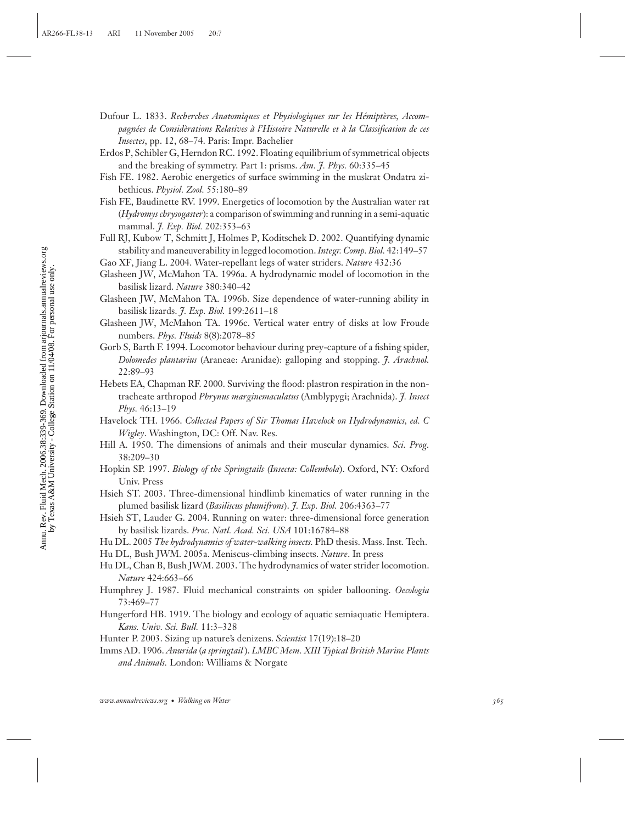- Dufour L. 1833. Recherches Anatomiques et Physiologiques sur les Hémiptères, Accom*pagn´ees de Consid`erations Relatives `a l'Histoire Naturelle et `a la Classification de ces Insectes*, pp. 12, 68–74. Paris: Impr. Bachelier
- Erdos P, Schibler G, Herndon RC. 1992. Floating equilibrium of symmetrical objects and the breaking of symmetry. Part 1: prisms. *Am. J. Phys.* 60:335–45
- Fish FE. 1982. Aerobic energetics of surface swimming in the muskrat Ondatra zibethicus. *Physiol. Zool.* 55:180–89
- Fish FE, Baudinette RV. 1999. Energetics of locomotion by the Australian water rat (*Hydromys chrysogaster*): a comparison of swimming and running in a semi-aquatic mammal. *J. Exp. Biol.* 202:353–63
- Full RJ, Kubow T, Schmitt J, Holmes P, Koditschek D. 2002. Quantifying dynamic stability and maneuverability in legged locomotion.*Integr. Comp. Biol.* 42:149–57
- Gao XF, Jiang L. 2004. Water-repellant legs of water striders. *Nature* 432:36
- Glasheen JW, McMahon TA. 1996a. A hydrodynamic model of locomotion in the basilisk lizard. *Nature* 380:340–42
- Glasheen JW, McMahon TA. 1996b. Size dependence of water-running ability in basilisk lizards. *J. Exp. Biol.* 199:2611–18
- Glasheen JW, McMahon TA. 1996c. Vertical water entry of disks at low Froude numbers. *Phys. Fluids* 8(8):2078–85
- Gorb S, Barth F. 1994. Locomotor behaviour during prey-capture of a fishing spider, *Dolomedes plantarius* (Araneae: Aranidae): galloping and stopping. *J. Arachnol.* 22:89–93
- Hebets EA, Chapman RF. 2000. Surviving the flood: plastron respiration in the nontracheate arthropod *Phrynus marginemaculatus* (Amblypygi; Arachnida). *J. Insect Phys.* 46:13–19
- Havelock TH. 1966. *Collected Papers of Sir Thomas Havelock on Hydrodynamics, ed. C Wigley*. Washington, DC: Off. Nav. Res.
- Hill A. 1950. The dimensions of animals and their muscular dynamics. *Sci. Prog.* 38:209–30
- Hopkin SP. 1997. *Biology of the Springtails (Insecta: Collembola*). Oxford, NY: Oxford Univ. Press
- Hsieh ST. 2003. Three-dimensional hindlimb kinematics of water running in the plumed basilisk lizard (*Basiliscus plumifrons*). *J. Exp. Biol.* 206:4363–77
- Hsieh ST, Lauder G. 2004. Running on water: three-dimensional force generation by basilisk lizards. *Proc. Natl. Acad. Sci. USA* 101:16784–88
- Hu DL. 2005 *The hydrodynamics of water-walking insects.* PhD thesis. Mass. Inst. Tech.
- Hu DL, Bush JWM. 2005a. Meniscus-climbing insects. *Nature*. In press
- Hu DL, Chan B, Bush JWM. 2003. The hydrodynamics of water strider locomotion. *Nature* 424:663–66
- Humphrey J. 1987. Fluid mechanical constraints on spider ballooning. *Oecologia* 73:469–77
- Hungerford HB. 1919. The biology and ecology of aquatic semiaquatic Hemiptera. *Kans. Univ. Sci. Bull.* 11:3–328
- Hunter P. 2003. Sizing up nature's denizens. *Scientist* 17(19):18–20
- Imms AD. 1906. *Anurida* (*a springtail* ). *LMBC Mem. XIII Typical British Marine Plants and Animals.* London: Williams & Norgate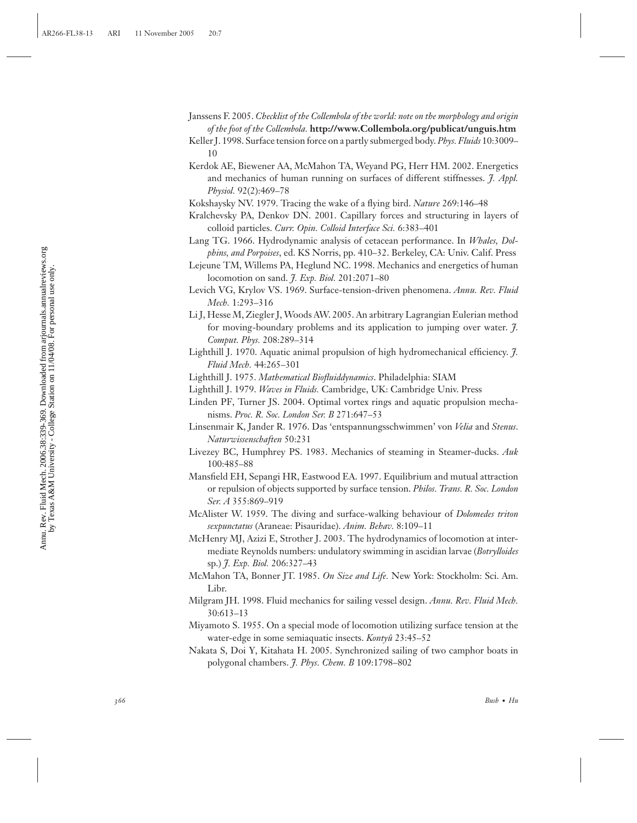- Janssens F. 2005. *Checklist of the Collembola of the world: note on the morphology and origin of the foot of the Collembola.* **http://www.Collembola.org/publicat/unguis.htm**
- Keller J. 1998. Surface tension force on a partly submerged body. *Phys. Fluids* 10:3009– 10
- Kerdok AE, Biewener AA, McMahon TA, Weyand PG, Herr HM. 2002. Energetics and mechanics of human running on surfaces of different stiffnesses. *J. Appl. Physiol.* 92(2):469–78
- Kokshaysky NV. 1979. Tracing the wake of a flying bird. *Nature* 269:146–48
- Kralchevsky PA, Denkov DN. 2001. Capillary forces and structuring in layers of colloid particles. *Curr. Opin. Colloid Interface Sci.* 6:383–401
- Lang TG. 1966. Hydrodynamic analysis of cetacean performance. In *Whales, Dolphins, and Porpoises*, ed. KS Norris, pp. 410–32. Berkeley, CA: Univ. Calif. Press
- Lejeune TM, Willems PA, Heglund NC. 1998. Mechanics and energetics of human locomotion on sand. *J. Exp. Biol.* 201:2071–80
- Levich VG, Krylov VS. 1969. Surface-tension-driven phenomena. *Annu. Rev. Fluid Mech.* 1:293–316
- Li J, Hesse M, Ziegler J, Woods AW. 2005. An arbitrary Lagrangian Eulerian method for moving-boundary problems and its application to jumping over water. *J. Comput. Phys.* 208:289–314
- Lighthill J. 1970. Aquatic animal propulsion of high hydromechanical efficiency. *J. Fluid Mech.* 44:265–301
- Lighthill J. 1975. *Mathematical Biofluiddynamics*. Philadelphia: SIAM
- Lighthill J. 1979. *Waves in Fluids.* Cambridge, UK: Cambridge Univ. Press
- Linden PF, Turner JS. 2004. Optimal vortex rings and aquatic propulsion mechanisms. *Proc. R. Soc. London Ser. B* 271:647–53
- Linsenmair K, Jander R. 1976. Das 'entspannungsschwimmen' von *Velia* and *Stenus*. *Naturwissenschaften* 50:231
- Livezey BC, Humphrey PS. 1983. Mechanics of steaming in Steamer-ducks. *Auk* 100:485–88
- Mansfield EH, Sepangi HR, Eastwood EA. 1997. Equilibrium and mutual attraction or repulsion of objects supported by surface tension. *Philos. Trans. R. Soc. London Ser. A* 355:869–919
- McAlister W. 1959. The diving and surface-walking behaviour of *Dolomedes triton sexpunctatus* (Araneae: Pisauridae). *Anim. Behav.* 8:109–11
- McHenry MJ, Azizi E, Strother J. 2003. The hydrodynamics of locomotion at intermediate Reynolds numbers: undulatory swimming in ascidian larvae (*Botrylloides* sp.) *J. Exp. Biol.* 206:327–43
- McMahon TA, Bonner JT. 1985. *On Size and Life.* New York: Stockholm: Sci. Am. Libr.
- Milgram JH. 1998. Fluid mechanics for sailing vessel design. *Annu. Rev. Fluid Mech.* 30:613–13
- Miyamoto S. 1955. On a special mode of locomotion utilizing surface tension at the water-edge in some semiaquatic insects. *Kontyû* 23:45–52
- Nakata S, Doi Y, Kitahata H. 2005. Synchronized sailing of two camphor boats in polygonal chambers. *J. Phys. Chem. B* 109:1798–802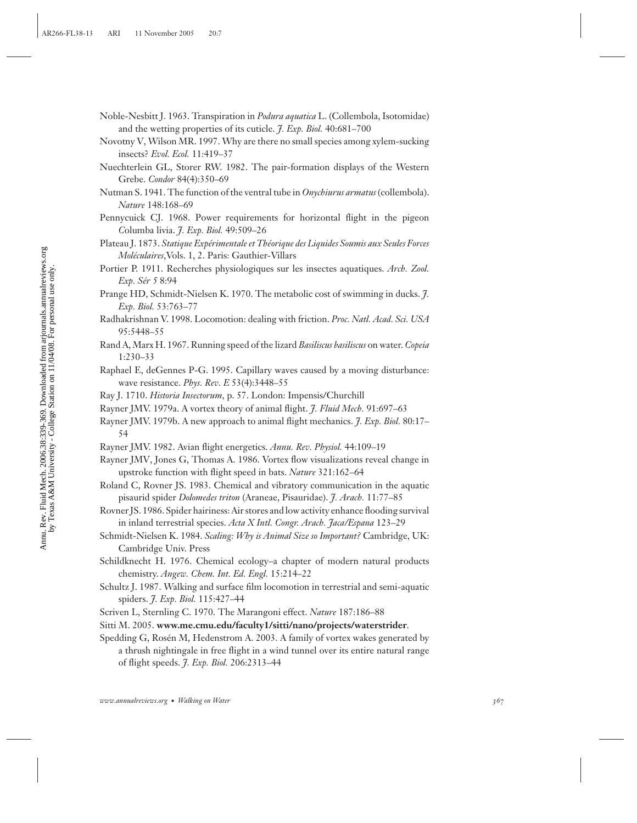- Noble-Nesbitt J. 1963. Transpiration in *Podura aquatica* L. (Collembola, Isotomidae) and the wetting properties of its cuticle. *J. Exp. Biol.* 40:681–700
- Novotny V, Wilson MR. 1997. Why are there no small species among xylem-sucking insects? *Evol. Ecol.* 11:419–37
- Nuechterlein GL, Storer RW. 1982. The pair-formation displays of the Western Grebe. *Condor* 84(4):350–69
- Nutman S. 1941. The function of the ventral tube in *Onychiurus armatus* (collembola). *Nature* 148:168–69
- Pennycuick CJ. 1968. Power requirements for horizontal flight in the pigeon *C*olumba livia. *J. Exp. Biol.* 49:509–26
- Plateau J. 1873. *Statique Exp´erimentale et Th´eorique des Liquides Soumis aux Seules Forces Mol´eculaires*,Vols. 1, 2. Paris: Gauthier-Villars
- Portier P. 1911. Recherches physiologiques sur les insectes aquatiques. *Arch. Zool. Exp.* Sér 5 8:94
- Prange HD, Schmidt-Nielsen K. 1970. The metabolic cost of swimming in ducks. *J. Exp. Biol.* 53:763–77
- Radhakrishnan V. 1998. Locomotion: dealing with friction. *Proc. Natl. Acad. Sci. USA* 95:5448–55
- Rand A, Marx H. 1967. Running speed of the lizard *Basiliscus basiliscus* on water. *Copeia* 1:230–33
- Raphael E, deGennes P-G. 1995. Capillary waves caused by a moving disturbance: wave resistance. *Phys. Rev. E* 53(4):3448–55
- Ray J. 1710. *Historia Insectorum*, p. 57. London: Impensis/Churchill
- Rayner JMV. 1979a. A vortex theory of animal flight. *J. Fluid Mech.* 91:697–63
- Rayner JMV. 1979b. A new approach to animal flight mechanics. *J. Exp. Biol.* 80:17– 54
- Rayner JMV. 1982. Avian flight energetics. *Annu. Rev. Physiol.* 44:109–19
- Rayner JMV, Jones G, Thomas A. 1986. Vortex flow visualizations reveal change in upstroke function with flight speed in bats. *Nature* 321:162–64
- Roland C, Rovner JS. 1983. Chemical and vibratory communication in the aquatic pisaurid spider *Dolomedes triton* (Araneae, Pisauridae). *J. Arach.* 11:77–85
- Rovner JS. 1986. Spider hairiness: Air stores and low activity enhance flooding survival in inland terrestrial species. *Acta X Intl. Congr. Arach. Jaca/Espana* 123–29
- Schmidt-Nielsen K. 1984. *Scaling: Why is Animal Size so Important?* Cambridge, UK: Cambridge Univ. Press
- Schildknecht H. 1976. Chemical ecology–a chapter of modern natural products chemistry. *Angew. Chem. Int. Ed. Engl.* 15:214–22
- Schultz J. 1987. Walking and surface film locomotion in terrestrial and semi-aquatic spiders. *J. Exp. Biol.* 115:427–44
- Scriven L, Sternling C. 1970. The Marangoni effect. *Nature* 187:186–88
- Sitti M. 2005. **www.me.cmu.edu/faculty1/sitti/nano/projects/waterstrider**.
- Spedding G, Rosén M, Hedenstrom A. 2003. A family of vortex wakes generated by a thrush nightingale in free flight in a wind tunnel over its entire natural range of flight speeds. *J. Exp. Biol.* 206:2313–44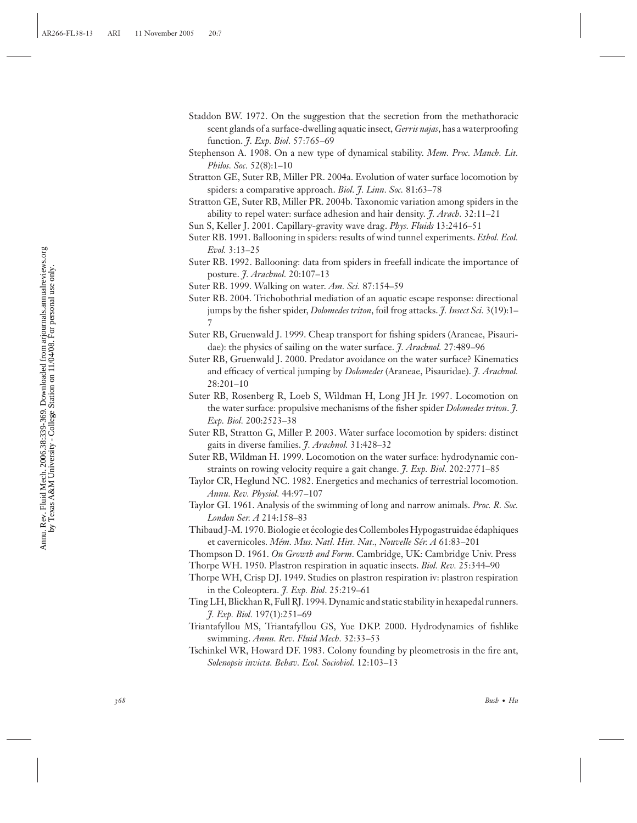- Staddon BW. 1972. On the suggestion that the secretion from the methathoracic scent glands of a surface-dwelling aquatic insect, *Gerris najas*, has a waterproofing function. *J. Exp. Biol.* 57:765–69
- Stephenson A. 1908. On a new type of dynamical stability. *Mem. Proc. Manch. Lit. Philos. Soc.* 52(8):1–10
- Stratton GE, Suter RB, Miller PR. 2004a. Evolution of water surface locomotion by spiders: a comparative approach. *Biol. J. Linn. Soc.* 81:63–78
- Stratton GE, Suter RB, Miller PR. 2004b. Taxonomic variation among spiders in the ability to repel water: surface adhesion and hair density. *J. Arach.* 32:11–21
- Sun S, Keller J. 2001. Capillary-gravity wave drag. *Phys. Fluids* 13:2416–51
- Suter RB. 1991. Ballooning in spiders: results of wind tunnel experiments. *Ethol. Ecol. Evol.* 3:13–25
- Suter RB. 1992. Ballooning: data from spiders in freefall indicate the importance of posture. *J. Arachnol.* 20:107–13
- Suter RB. 1999. Walking on water. *Am. Sci.* 87:154–59
- Suter RB. 2004. Trichobothrial mediation of an aquatic escape response: directional jumps by the fisher spider, *Dolomedes triton*, foil frog attacks. *J. Insect Sci.* 3(19):1– 7
- Suter RB, Gruenwald J. 1999. Cheap transport for fishing spiders (Araneae, Pisauridae): the physics of sailing on the water surface. *J. Arachnol.* 27:489–96
- Suter RB, Gruenwald J. 2000. Predator avoidance on the water surface? Kinematics and efficacy of vertical jumping by *Dolomedes* (Araneae, Pisauridae). *J. Arachnol.* 28:201–10
- Suter RB, Rosenberg R, Loeb S, Wildman H, Long JH Jr. 1997. Locomotion on the water surface: propulsive mechanisms of the fisher spider *Dolomedes triton*. *J. Exp. Biol.* 200:2523–38
- Suter RB, Stratton G, Miller P. 2003. Water surface locomotion by spiders: distinct gaits in diverse families. *J. Arachnol.* 31:428–32
- Suter RB, Wildman H. 1999. Locomotion on the water surface: hydrodynamic constraints on rowing velocity require a gait change. *J. Exp. Biol.* 202:2771–85
- Taylor CR, Heglund NC. 1982. Energetics and mechanics of terrestrial locomotion. *Annu. Rev. Physiol.* 44:97–107
- Taylor GI. 1961. Analysis of the swimming of long and narrow animals. *Proc. R. Soc. London Ser. A* 214:158–83
- Thibaud J-M. 1970. Biologie et écologie des Collemboles Hypogastruidae édaphiques et cavernicoles. *Mém. Mus. Natl. Hist. Nat., Nouvelle Sér. A* 61:83-201
- Thompson D. 1961. *On Growth and Form*. Cambridge, UK: Cambridge Univ. Press
- Thorpe WH. 1950. Plastron respiration in aquatic insects. *Biol. Rev.* 25:344–90
- Thorpe WH, Crisp DJ. 1949. Studies on plastron respiration iv: plastron respiration in the Coleoptera. *J. Exp. Biol*. 25:219–61
- Ting LH, Blickhan R, Full RJ. 1994. Dynamic and static stability in hexapedal runners. *J. Exp. Biol.* 197(1):251–69
- Triantafyllou MS, Triantafyllou GS, Yue DKP. 2000. Hydrodynamics of fishlike swimming. *Annu. Rev. Fluid Mech.* 32:33–53
- Tschinkel WR, Howard DF. 1983. Colony founding by pleometrosis in the fire ant, *Solenopsis invicta. Behav. Ecol. Sociobiol.* 12:103–13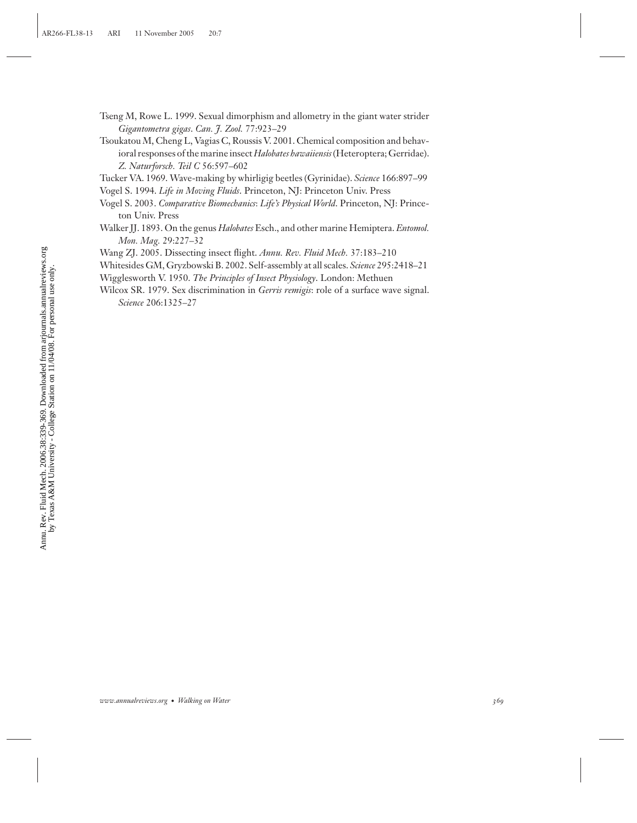- Tseng M, Rowe L. 1999. Sexual dimorphism and allometry in the giant water strider *Gigantometra gigas*. *Can. J. Zool.* 77:923–29
- Tsoukatou M, Cheng L, Vagias C, Roussis V. 2001. Chemical composition and behavioral responses of the marine insect*Halobates hawaiiensis*(Heteroptera; Gerridae). *Z. Naturforsch. Teil C* 56:597–602
- Tucker VA. 1969. Wave-making by whirligig beetles (Gyrinidae). *Science* 166:897–99
- Vogel S. 1994. *Life in Moving Fluids*. Princeton, NJ: Princeton Univ. Press
- Vogel S. 2003. *Comparative Biomechanics*: *Life's Physical World*. Princeton, NJ: Princeton Univ. Press
- Walker JJ. 1893. On the genus *Halobates* Esch., and other marine Hemiptera. *Entomol. Mon. Mag.* 29:227–32
- Wang ZJ. 2005. Dissecting insect flight. *Annu. Rev. Fluid Mech.* 37:183–210
- Whitesides GM, Gryzbowski B. 2002. Self-assembly at all scales. *Science* 295:2418–21
- Wigglesworth V. 1950. *The Principles of Insect Physiology*. London: Methuen
- Wilcox SR. 1979. Sex discrimination in *Gerris remigis*: role of a surface wave signal. *Science* 206:1325–27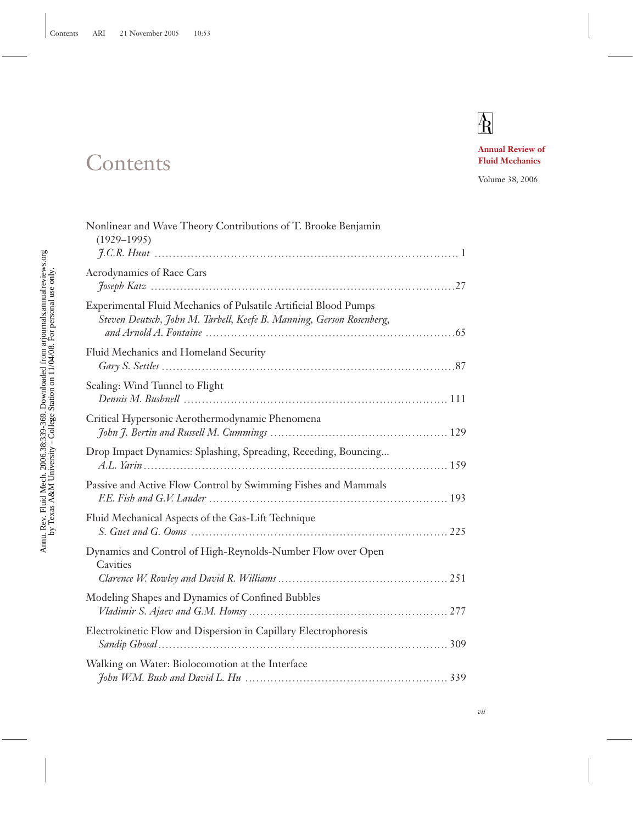# $\overline{\mathbf{R}}$

**Annual Review of Fluid Mechanics**

## Volume 38, 2006

| Nonlinear and Wave Theory Contributions of T. Brooke Benjamin<br>$(1929 - 1995)$                                                         |  |
|------------------------------------------------------------------------------------------------------------------------------------------|--|
| Aerodynamics of Race Cars                                                                                                                |  |
| Experimental Fluid Mechanics of Pulsatile Artificial Blood Pumps<br>Steven Deutsch, John M. Tarbell, Keefe B. Manning, Gerson Rosenberg, |  |
| Fluid Mechanics and Homeland Security                                                                                                    |  |
| Scaling: Wind Tunnel to Flight                                                                                                           |  |
| Critical Hypersonic Aerothermodynamic Phenomena                                                                                          |  |
| Drop Impact Dynamics: Splashing, Spreading, Receding, Bouncing                                                                           |  |
| Passive and Active Flow Control by Swimming Fishes and Mammals                                                                           |  |
| Fluid Mechanical Aspects of the Gas-Lift Technique                                                                                       |  |
| Dynamics and Control of High-Reynolds-Number Flow over Open<br>Cavities                                                                  |  |
| Modeling Shapes and Dynamics of Confined Bubbles                                                                                         |  |
| Electrokinetic Flow and Dispersion in Capillary Electrophoresis                                                                          |  |
| Walking on Water: Biolocomotion at the Interface                                                                                         |  |

**Contents**